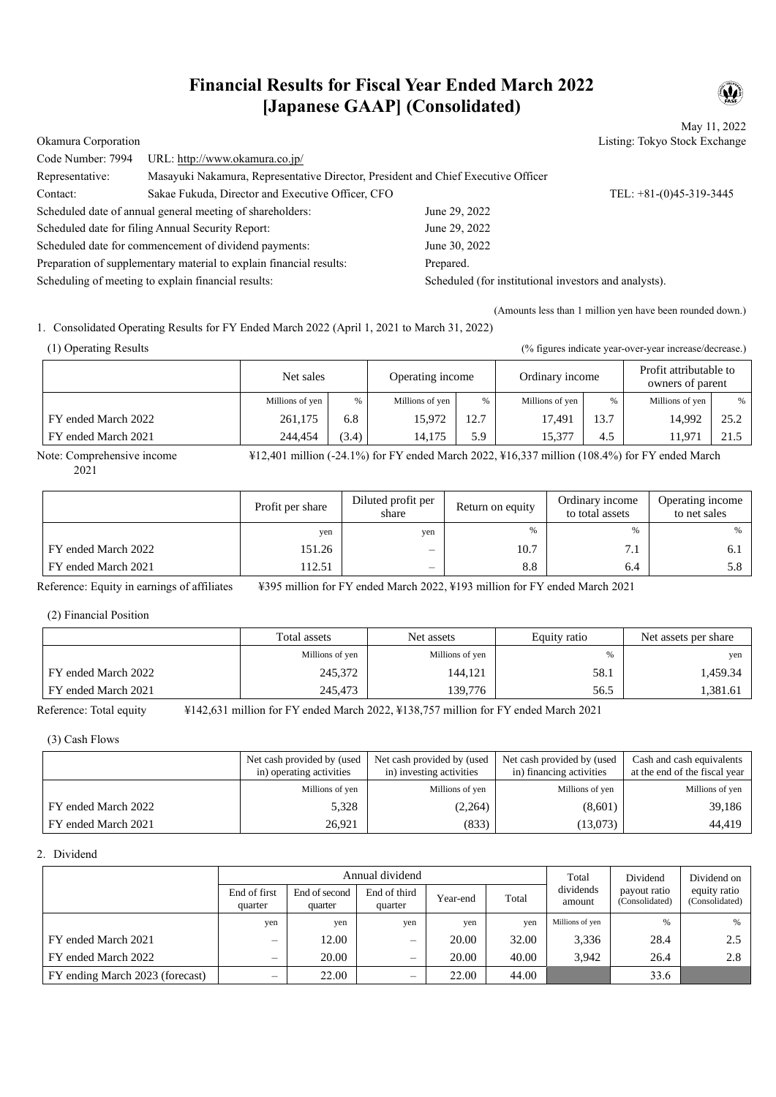# **Financial Results for Fiscal Year Ended March 2022 [Japanese GAAP] (Consolidated)**

May 11, 2022 Okamura Corporation Listing: Tokyo Stock Exchange

|                                                                     |                                                                                   |                                                       | $P_{\text{in}}$ and $P_{\text{out}}$ are $P_{\text{out}}$ and $P_{\text{out}}$ |  |
|---------------------------------------------------------------------|-----------------------------------------------------------------------------------|-------------------------------------------------------|--------------------------------------------------------------------------------|--|
| Code Number: 7994                                                   | URL: http://www.okamura.co.jp/                                                    |                                                       |                                                                                |  |
| Representative:                                                     | Masayuki Nakamura, Representative Director, President and Chief Executive Officer |                                                       |                                                                                |  |
| Contact:                                                            | Sakae Fukuda, Director and Executive Officer, CFO                                 |                                                       | TEL: $+81-(0)45-319-3445$                                                      |  |
| Scheduled date of annual general meeting of shareholders:           |                                                                                   | June 29, 2022                                         |                                                                                |  |
|                                                                     | Scheduled date for filing Annual Security Report:                                 | June 29, 2022                                         |                                                                                |  |
|                                                                     | Scheduled date for commencement of dividend payments:                             | June 30, 2022                                         |                                                                                |  |
| Preparation of supplementary material to explain financial results: |                                                                                   | Prepared.                                             |                                                                                |  |
| Scheduling of meeting to explain financial results:                 |                                                                                   | Scheduled (for institutional investors and analysts). |                                                                                |  |
|                                                                     |                                                                                   |                                                       |                                                                                |  |

(Amounts less than 1 million yen have been rounded down.)

1. Consolidated Operating Results for FY Ended March 2022 (April 1, 2021 to March 31, 2022)

(1) Operating Results (% figures indicate year-over-year increase/decrease.)

|                     | Net sales       |       | Operating income |      | Ordinary income |               | Profit attributable to<br>owners of parent |      |
|---------------------|-----------------|-------|------------------|------|-----------------|---------------|--------------------------------------------|------|
|                     | Millions of yen | %     | Millions of yen  | %    | Millions of yen | $\frac{0}{0}$ | Millions of yen                            | $\%$ |
| FY ended March 2022 | 261,175         | 6.8   | 15.972           | 12.7 | 17.491          | 13.7          | 14.992                                     | 25.2 |
| FY ended March 2021 | 244,454         | (3.4) | 14.175           | 5.9  | 15,377          | 4.5           | 11.97.                                     | 21.5 |

Note: Comprehensive income ¥12,401 million (-24.1%) for FY ended March 2022, ¥16,337 million (108.4%) for FY ended March 2021

|                     | Profit per share | Diluted profit per<br>share | Return on equity | Ordinary income<br>to total assets | Operating income<br>to net sales |
|---------------------|------------------|-----------------------------|------------------|------------------------------------|----------------------------------|
|                     | yen              | yen                         | $\%$             | ℀                                  | %                                |
| FY ended March 2022 | 151.26           | $\overline{\phantom{0}}$    | 10.7             | 7.1                                | 6. J                             |
| FY ended March 2021 | 112.51           | $\overline{\phantom{0}}$    | 8.8              | 6.4                                | 5.8                              |

Reference: Equity in earnings of affiliates ¥395 million for FY ended March 2022, ¥193 million for FY ended March 2021

(2) Financial Position

|                     | Total assets    | Net assets      | Equity ratio | Net assets per share |
|---------------------|-----------------|-----------------|--------------|----------------------|
|                     | Millions of yen | Millions of yen | %            | ven                  |
| FY ended March 2022 | 245,372         | 144,121         | 58.1         | 1,459.34             |
| FY ended March 2021 | 245,473         | 139,776         | 56.5         | 381.61.)             |

Reference: Total equity ¥142,631 million for FY ended March 2022, ¥138,757 million for FY ended March 2021

(3) Cash Flows

|                     | Net cash provided by (used<br>in) operating activities | Net cash provided by (used<br>in) investing activities | Net cash provided by (used<br>in) financing activities | Cash and cash equivalents<br>at the end of the fiscal year |
|---------------------|--------------------------------------------------------|--------------------------------------------------------|--------------------------------------------------------|------------------------------------------------------------|
|                     | Millions of yen                                        | Millions of yen                                        | Millions of yen                                        | Millions of yen                                            |
| FY ended March 2022 | 5,328                                                  | (2,264)                                                | (8,601)                                                | 39,186                                                     |
| FY ended March 2021 | 26.921                                                 | (833)                                                  | (13,073)                                               | 44,419                                                     |

## 2. Dividend

|                                 |                          |                          | Annual dividend          | Total    | Dividend | Dividend on         |                                |                                |
|---------------------------------|--------------------------|--------------------------|--------------------------|----------|----------|---------------------|--------------------------------|--------------------------------|
|                                 | End of first<br>quarter  | End of second<br>quarter | End of third<br>quarter  | Year-end | Total    | dividends<br>amount | payout ratio<br>(Consolidated) | equity ratio<br>(Consolidated) |
|                                 | yen                      | yen                      | yen                      | yen      | yen      | Millions of yen     | %                              | %                              |
| FY ended March 2021             | $\qquad \qquad -$        | 12.00                    | —                        | 20.00    | 32.00    | 3.336               | 28.4                           | 2.5                            |
| FY ended March 2022             | $\overline{\phantom{0}}$ | 20.00                    | –                        | 20.00    | 40.00    | 3.942               | 26.4                           | 2.8                            |
| FY ending March 2023 (forecast) | $\overline{\phantom{0}}$ | 22.00                    | $\overline{\phantom{0}}$ | 22.00    | 44.00    |                     | 33.6                           |                                |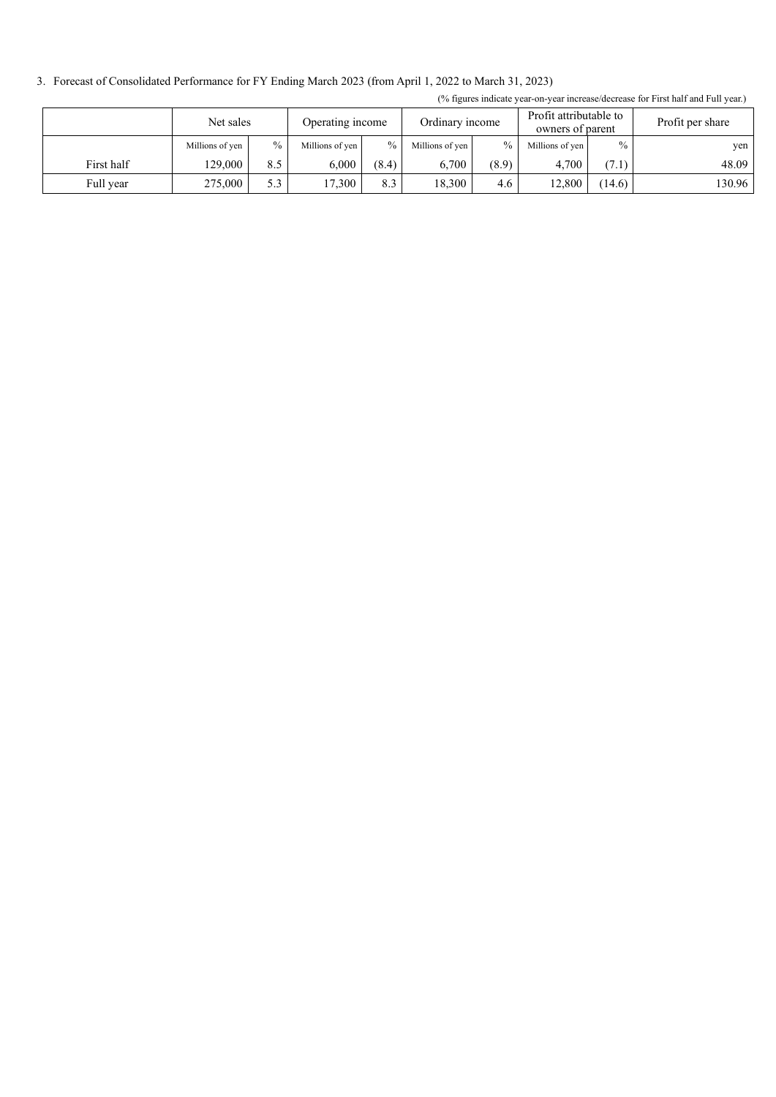3. Forecast of Consolidated Performance for FY Ending March 2023 (from April 1, 2022 to March 31, 2023)

|            | Net sales       |               | Operating income |               | Ordinary income |               | Profit attributable to<br>owners of parent |               | Profit per share |
|------------|-----------------|---------------|------------------|---------------|-----------------|---------------|--------------------------------------------|---------------|------------------|
|            | Millions of yen | $\frac{0}{0}$ | Millions of yen  | $\frac{0}{0}$ | Millions of yen | $\frac{0}{0}$ | Millions of yen                            | $\frac{0}{0}$ | yen              |
| First half | 129,000         | 8.5           | 6.000            | (8.4)         | 6.700           | (8.9)         | 4.700                                      | (7.1)         | 48.09            |
| Full year  | 275,000         | 5.3           | 17,300           | 8.3           | 18.300          | 4.6           | 12,800                                     | (14.6)        | 130.96           |

(% figures indicate year-on-year increase/decrease for First half and Full year.)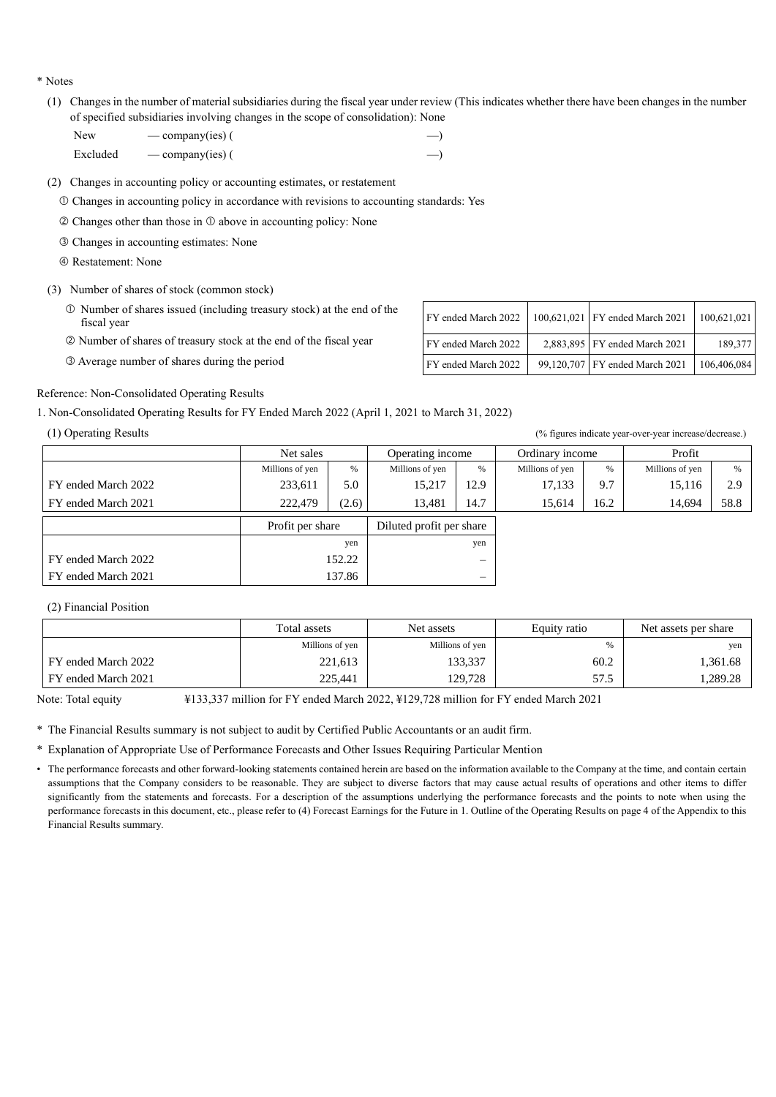\* Notes

(1) Changes in the number of material subsidiaries during the fiscal year under review (This indicates whether there have been changes in the number of specified subsidiaries involving changes in the scope of consolidation): None

| New      | — company(ies) $($ | $\rightarrow$ |
|----------|--------------------|---------------|
| Excluded | — company(ies) $($ |               |

(2) Changes in accounting policy or accounting estimates, or restatement

Changes in accounting policy in accordance with revisions to accounting standards: Yes

 $\oslash$  Changes other than those in  $\oslash$  above in accounting policy: None

- Changes in accounting estimates: None
- Restatement: None
- (3) Number of shares of stock (common stock)
	- Number of shares issued (including treasury stock) at the end of the
	- © Number of shares of treasury stock at the end of the fiscal year
	- $\circ$  Average number of shares during the period

| Number of shares issued (including treasury stock) at the end of the<br>fiscal year | FY ended March 2022 | 100,621,021 FY ended March 2021 | 100.621.021 |
|-------------------------------------------------------------------------------------|---------------------|---------------------------------|-------------|
| Number of shares of treasury stock at the end of the fiscal year                    | FY ended March 2022 | 2,883,895 FY ended March 2021   | 189,377     |
| Average number of shares during the period                                          | FY ended March 2022 | 99,120,707 FY ended March 2021  | 106,406,084 |

#### Reference: Non-Consolidated Operating Results

1. Non-Consolidated Operating Results for FY Ended March 2022 (April 1, 2021 to March 31, 2022)

(1) Operating Results (% figures indicate year-over-year increase/decrease.)

| $\sqrt{1}$<br>$\sim$ |                  |       |                          |                          |                 |      |                 |      |
|----------------------|------------------|-------|--------------------------|--------------------------|-----------------|------|-----------------|------|
|                      | Net sales        |       | Operating income         |                          | Ordinary income |      | Profit          |      |
|                      | Millions of yen  | %     | Millions of yen          | %                        | Millions of yen | %    | Millions of yen | %    |
| FY ended March 2022  | 233,611          | 5.0   | 15,217                   | 12.9                     | 17,133          | 9.7  | 15,116          | 2.9  |
| FY ended March 2021  | 222,479          | (2.6) | 13,481                   | 14.7                     | 15,614          | 16.2 | 14,694          | 58.8 |
|                      | Profit per share |       | Diluted profit per share |                          |                 |      |                 |      |
|                      | yen              |       | yen                      |                          |                 |      |                 |      |
| FY ended March 2022  | 152.22           |       |                          |                          |                 |      |                 |      |
| FY ended March 2021  | 137.86           |       |                          | $\overline{\phantom{0}}$ |                 |      |                 |      |

### (2) Financial Position

|                     | Total assets    | Net assets      | Equity ratio | Net assets per share |
|---------------------|-----------------|-----------------|--------------|----------------------|
|                     | Millions of yen | Millions of yen | %            | yen                  |
| FY ended March 2022 | 221,613         | 133,337         | 60.2         | 1,361.68             |
| FY ended March 2021 | 225,441         | 129,728         | 57.5         | .289.28              |

Note: Total equity ¥133,337 million for FY ended March 2022, ¥129,728 million for FY ended March 2021

\* The Financial Results summary is not subject to audit by Certified Public Accountants or an audit firm.

\* Explanation of Appropriate Use of Performance Forecasts and Other Issues Requiring Particular Mention

<sup>•</sup> The performance forecasts and other forward-looking statements contained herein are based on the information available to the Company at the time, and contain certain assumptions that the Company considers to be reasonable. They are subject to diverse factors that may cause actual results of operations and other items to differ significantly from the statements and forecasts. For a description of the assumptions underlying the performance forecasts and the points to note when using the performance forecasts in this document, etc., please refer to (4) Forecast Earnings for the Future in 1. Outline of the Operating Results on page 4 of the Appendix to this Financial Results summary.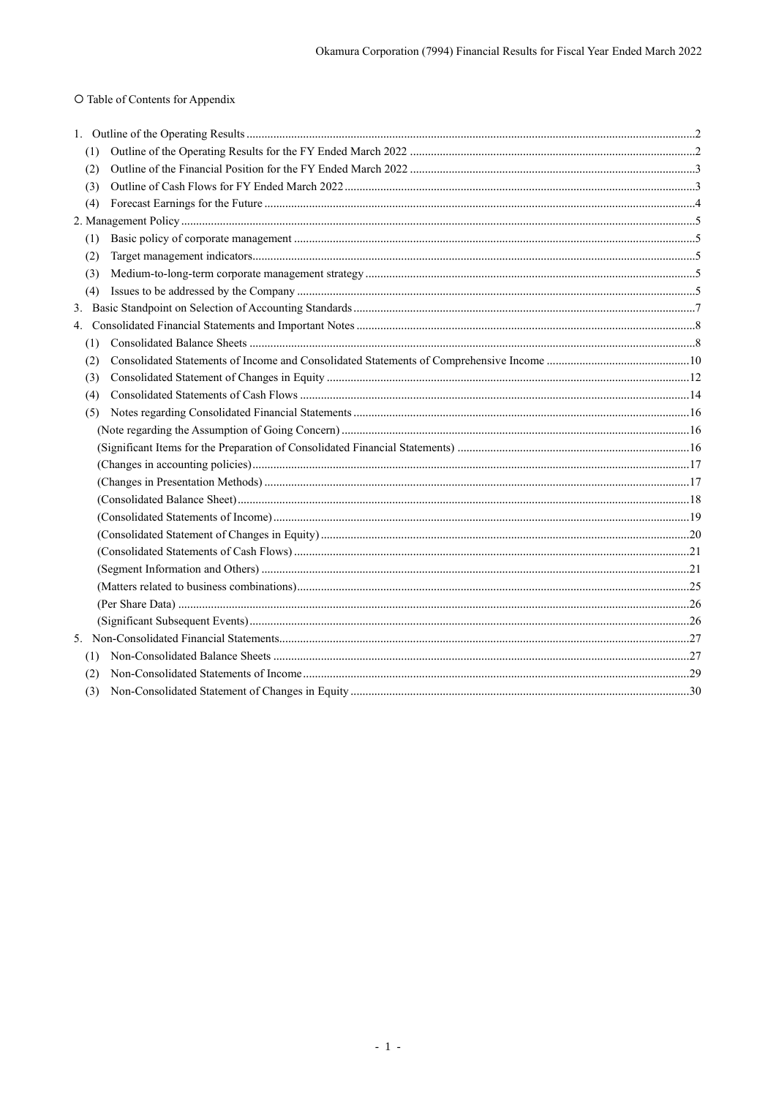# O Table of Contents for Appendix

| (1) |  |
|-----|--|
| (2) |  |
| (3) |  |
| (4) |  |
|     |  |
| (1) |  |
| (2) |  |
| (3) |  |
| (4) |  |
|     |  |
|     |  |
| (1) |  |
| (2) |  |
| (3) |  |
| (4) |  |
| (5) |  |
|     |  |
|     |  |
|     |  |
|     |  |
|     |  |
|     |  |
|     |  |
|     |  |
|     |  |
|     |  |
|     |  |
|     |  |
|     |  |
| (1) |  |
| (2) |  |
|     |  |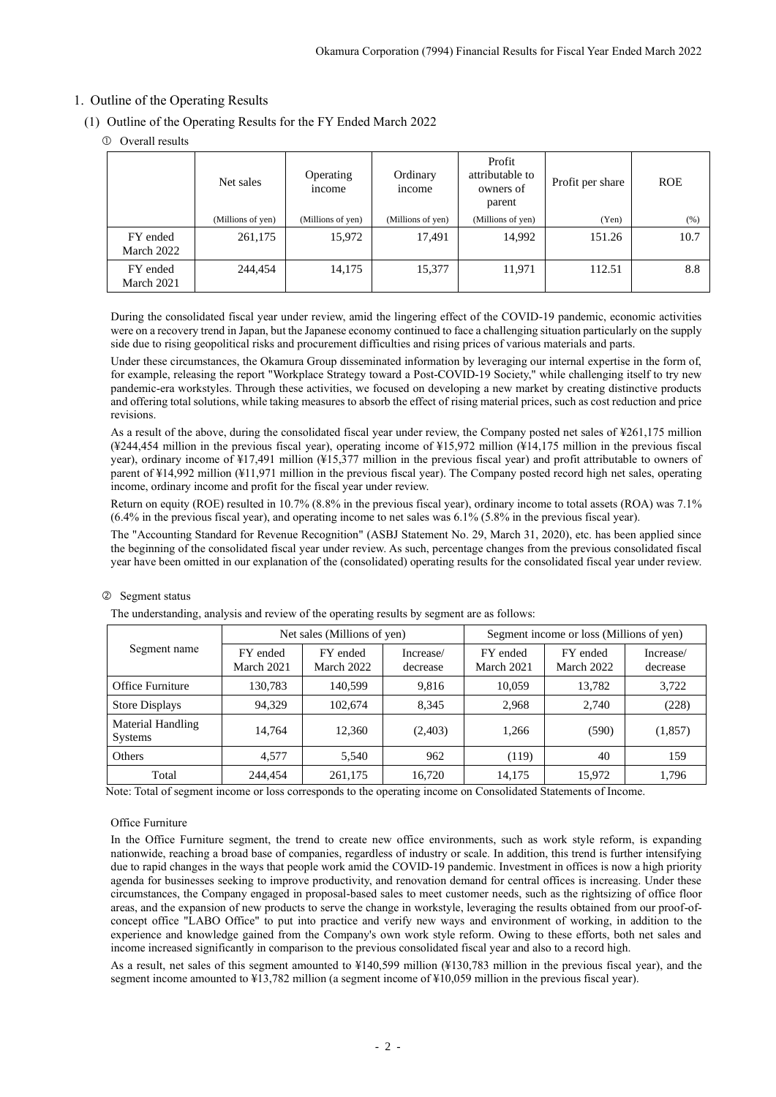## <span id="page-4-0"></span>1. Outline of the Operating Results

- <span id="page-4-1"></span>(1) Outline of the Operating Results for the FY Ended March 2022
	- Overall results

|                        | Net sales         | Operating<br><i>n</i> come | Ordinary<br>income | Profit<br>attributable to<br>owners of<br>parent | Profit per share | <b>ROE</b> |
|------------------------|-------------------|----------------------------|--------------------|--------------------------------------------------|------------------|------------|
|                        | (Millions of yen) | (Millions of yen)          | (Millions of yen)  | (Millions of yen)                                | (Yen)            | (% )       |
| FY ended<br>March 2022 | 261,175           | 15,972                     | 17,491             | 14,992                                           | 151.26           | 10.7       |
| FY ended<br>March 2021 | 244.454           | 14,175                     | 15,377             | 11,971                                           | 112.51           | 8.8        |

During the consolidated fiscal year under review, amid the lingering effect of the COVID-19 pandemic, economic activities were on a recovery trend in Japan, but the Japanese economy continued to face a challenging situation particularly on the supply side due to rising geopolitical risks and procurement difficulties and rising prices of various materials and parts.

Under these circumstances, the Okamura Group disseminated information by leveraging our internal expertise in the form of, for example, releasing the report "Workplace Strategy toward a Post-COVID-19 Society," while challenging itself to try new pandemic-era workstyles. Through these activities, we focused on developing a new market by creating distinctive products and offering total solutions, while taking measures to absorb the effect of rising material prices, such as cost reduction and price revisions.

As a result of the above, during the consolidated fiscal year under review, the Company posted net sales of ¥261,175 million (¥244,454 million in the previous fiscal year), operating income of ¥15,972 million (¥14,175 million in the previous fiscal year), ordinary income of ¥17,491 million (¥15,377 million in the previous fiscal year) and profit attributable to owners of parent of ¥14,992 million (¥11,971 million in the previous fiscal year). The Company posted record high net sales, operating income, ordinary income and profit for the fiscal year under review.

Return on equity (ROE) resulted in 10.7% (8.8% in the previous fiscal year), ordinary income to total assets (ROA) was 7.1% (6.4% in the previous fiscal year), and operating income to net sales was 6.1% (5.8% in the previous fiscal year).

The "Accounting Standard for Revenue Recognition" (ASBJ Statement No. 29, March 31, 2020), etc. has been applied since the beginning of the consolidated fiscal year under review. As such, percentage changes from the previous consolidated fiscal year have been omitted in our explanation of the (consolidated) operating results for the consolidated fiscal year under review.

## Segment status

The understanding, analysis and review of the operating results by segment are as follows:

|                              |                        | Net sales (Millions of yen) |                       | Segment income or loss (Millions of yen) |                        |                       |  |
|------------------------------|------------------------|-----------------------------|-----------------------|------------------------------------------|------------------------|-----------------------|--|
| Segment name                 | FY ended<br>March 2021 | FY ended<br>March 2022      | Increase/<br>decrease | FY ended<br>March 2021                   | FY ended<br>March 2022 | Increase/<br>decrease |  |
| Office Furniture             | 130,783                | 140.599                     | 9,816                 | 10.059                                   | 13.782                 | 3,722                 |  |
| <b>Store Displays</b>        | 94.329                 | 102,674                     | 8.345                 | 2,968                                    | 2.740                  | (228)                 |  |
| Material Handling<br>Systems | 14.764                 | 12.360                      | (2,403)               | 1,266                                    | (590)                  | (1, 857)              |  |
| Others                       | 4.577                  | 5.540                       | 962                   | (119)                                    | 40                     | 159                   |  |
| Total                        | 244,454                | 261,175                     | 16,720                | 14,175                                   | 15,972                 | 1,796                 |  |

Note: Total of segment income or loss corresponds to the operating income on Consolidated Statements of Income.

### Office Furniture

In the Office Furniture segment, the trend to create new office environments, such as work style reform, is expanding nationwide, reaching a broad base of companies, regardless of industry or scale. In addition, this trend is further intensifying due to rapid changes in the ways that people work amid the COVID-19 pandemic. Investment in offices is now a high priority agenda for businesses seeking to improve productivity, and renovation demand for central offices is increasing. Under these circumstances, the Company engaged in proposal-based sales to meet customer needs, such as the rightsizing of office floor areas, and the expansion of new products to serve the change in workstyle, leveraging the results obtained from our proof-ofconcept office "LABO Office" to put into practice and verify new ways and environment of working, in addition to the experience and knowledge gained from the Company's own work style reform. Owing to these efforts, both net sales and income increased significantly in comparison to the previous consolidated fiscal year and also to a record high.

As a result, net sales of this segment amounted to ¥140,599 million (¥130,783 million in the previous fiscal year), and the segment income amounted to ¥13,782 million (a segment income of ¥10,059 million in the previous fiscal year).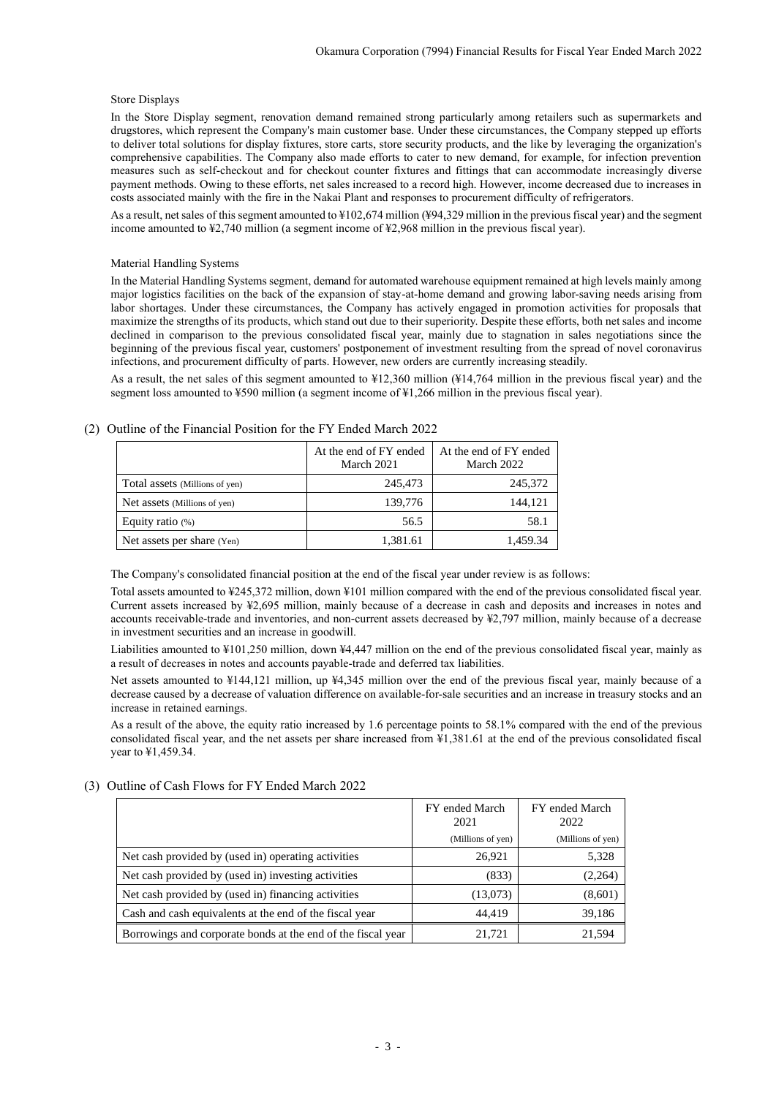#### Store Displays

In the Store Display segment, renovation demand remained strong particularly among retailers such as supermarkets and drugstores, which represent the Company's main customer base. Under these circumstances, the Company stepped up efforts to deliver total solutions for display fixtures, store carts, store security products, and the like by leveraging the organization's comprehensive capabilities. The Company also made efforts to cater to new demand, for example, for infection prevention measures such as self-checkout and for checkout counter fixtures and fittings that can accommodate increasingly diverse payment methods. Owing to these efforts, net sales increased to a record high. However, income decreased due to increases in costs associated mainly with the fire in the Nakai Plant and responses to procurement difficulty of refrigerators.

As a result, net sales of this segment amounted to ¥102,674 million (¥94,329 million in the previous fiscal year) and the segment income amounted to ¥2,740 million (a segment income of ¥2,968 million in the previous fiscal year).

#### Material Handling Systems

In the Material Handling Systems segment, demand for automated warehouse equipment remained at high levels mainly among major logistics facilities on the back of the expansion of stay-at-home demand and growing labor-saving needs arising from labor shortages. Under these circumstances, the Company has actively engaged in promotion activities for proposals that maximize the strengths of its products, which stand out due to their superiority. Despite these efforts, both net sales and income declined in comparison to the previous consolidated fiscal year, mainly due to stagnation in sales negotiations since the beginning of the previous fiscal year, customers' postponement of investment resulting from the spread of novel coronavirus infections, and procurement difficulty of parts. However, new orders are currently increasing steadily.

As a result, the net sales of this segment amounted to ¥12,360 million (¥14,764 million in the previous fiscal year) and the segment loss amounted to ¥590 million (a segment income of ¥1,266 million in the previous fiscal year).

|                                | At the end of FY ended<br>March 2021 | At the end of FY ended<br>March 2022 |  |
|--------------------------------|--------------------------------------|--------------------------------------|--|
| Total assets (Millions of yen) | 245,473                              | 245,372                              |  |
| Net assets (Millions of yen)   | 139,776                              | 144.121                              |  |
| Equity ratio $(\%)$            | 56.5                                 | 58.1                                 |  |
| Net assets per share (Yen)     | 1,381.61                             | 1,459.34                             |  |

#### <span id="page-5-0"></span>(2) Outline of the Financial Position for the FY Ended March 2022

The Company's consolidated financial position at the end of the fiscal year under review is as follows:

Total assets amounted to ¥245,372 million, down ¥101 million compared with the end of the previous consolidated fiscal year. Current assets increased by ¥2,695 million, mainly because of a decrease in cash and deposits and increases in notes and accounts receivable-trade and inventories, and non-current assets decreased by ¥2,797 million, mainly because of a decrease in investment securities and an increase in goodwill.

Liabilities amounted to ¥101,250 million, down ¥4,447 million on the end of the previous consolidated fiscal year, mainly as a result of decreases in notes and accounts payable-trade and deferred tax liabilities.

Net assets amounted to ¥144,121 million, up ¥4,345 million over the end of the previous fiscal year, mainly because of a decrease caused by a decrease of valuation difference on available-for-sale securities and an increase in treasury stocks and an increase in retained earnings.

As a result of the above, the equity ratio increased by 1.6 percentage points to 58.1% compared with the end of the previous consolidated fiscal year, and the net assets per share increased from ¥1,381.61 at the end of the previous consolidated fiscal year to ¥1,459.34.

### <span id="page-5-1"></span>(3) Outline of Cash Flows for FY Ended March 2022

|                                                              | FY ended March<br>2021 | FY ended March<br>2022 |
|--------------------------------------------------------------|------------------------|------------------------|
|                                                              | (Millions of yen)      | (Millions of yen)      |
| Net cash provided by (used in) operating activities          | 26,921                 | 5,328                  |
| Net cash provided by (used in) investing activities          | (833)                  | (2,264)                |
| Net cash provided by (used in) financing activities          | (13,073)               | (8,601)                |
| Cash and cash equivalents at the end of the fiscal year      | 44.419                 | 39,186                 |
| Borrowings and corporate bonds at the end of the fiscal year | 21.721                 | 21,594                 |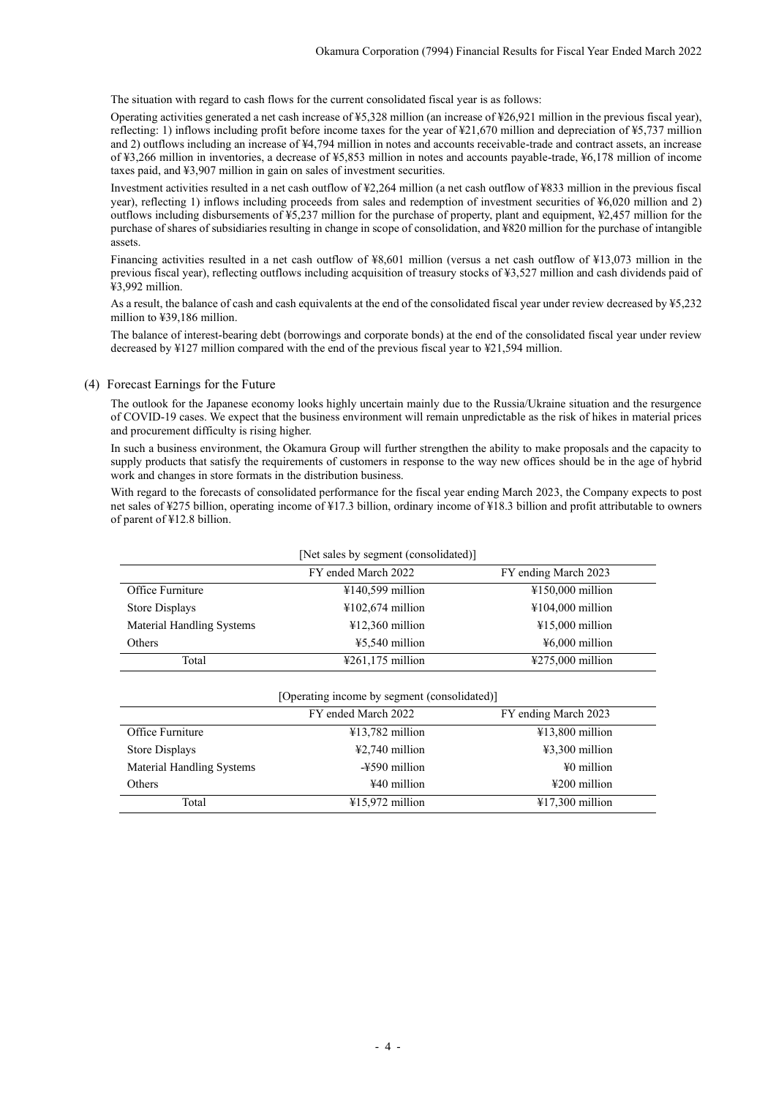The situation with regard to cash flows for the current consolidated fiscal year is as follows:

Operating activities generated a net cash increase of ¥5,328 million (an increase of ¥26,921 million in the previous fiscal year), reflecting: 1) inflows including profit before income taxes for the year of ¥21,670 million and depreciation of ¥5,737 million and 2) outflows including an increase of ¥4,794 million in notes and accounts receivable-trade and contract assets, an increase of ¥3,266 million in inventories, a decrease of ¥5,853 million in notes and accounts payable-trade, ¥6,178 million of income taxes paid, and ¥3,907 million in gain on sales of investment securities.

Investment activities resulted in a net cash outflow of ¥2,264 million (a net cash outflow of ¥833 million in the previous fiscal year), reflecting 1) inflows including proceeds from sales and redemption of investment securities of ¥6,020 million and 2) outflows including disbursements of ¥5,237 million for the purchase of property, plant and equipment, ¥2,457 million for the purchase of shares of subsidiaries resulting in change in scope of consolidation, and ¥820 million for the purchase of intangible assets.

Financing activities resulted in a net cash outflow of ¥8,601 million (versus a net cash outflow of ¥13,073 million in the previous fiscal year), reflecting outflows including acquisition of treasury stocks of ¥3,527 million and cash dividends paid of ¥3,992 million.

As a result, the balance of cash and cash equivalents at the end of the consolidated fiscal year under review decreased by ¥5,232 million to ¥39,186 million.

The balance of interest-bearing debt (borrowings and corporate bonds) at the end of the consolidated fiscal year under review decreased by ¥127 million compared with the end of the previous fiscal year to ¥21,594 million.

#### <span id="page-6-0"></span>(4) Forecast Earnings for the Future

The outlook for the Japanese economy looks highly uncertain mainly due to the Russia/Ukraine situation and the resurgence of COVID-19 cases. We expect that the business environment will remain unpredictable as the risk of hikes in material prices and procurement difficulty is rising higher.

In such a business environment, the Okamura Group will further strengthen the ability to make proposals and the capacity to supply products that satisfy the requirements of customers in response to the way new offices should be in the age of hybrid work and changes in store formats in the distribution business.

With regard to the forecasts of consolidated performance for the fiscal year ending March 2023, the Company expects to post net sales of ¥275 billion, operating income of ¥17.3 billion, ordinary income of ¥18.3 billion and profit attributable to owners of parent of ¥12.8 billion.

| [Net sales by segment (consolidated)] |                                       |                                       |  |  |  |  |
|---------------------------------------|---------------------------------------|---------------------------------------|--|--|--|--|
|                                       | FY ended March 2022                   | FY ending March 2023                  |  |  |  |  |
| Office Furniture                      | $4140,599$ million                    | $\text{\textsterling}150,000$ million |  |  |  |  |
| Store Displays                        | $\text{\textsterling}102,674$ million | $\text{\textsterling}104,000$ million |  |  |  |  |
| <b>Material Handling Systems</b>      | $412,360$ million                     | $415,000$ million                     |  |  |  |  |
| Others                                | $45.540$ million                      | $46,000$ million                      |  |  |  |  |
| Total                                 | $\text{\textsterling}261,175$ million | $\text{\textsterling}275,000$ million |  |  |  |  |

<span id="page-6-1"></span>

| [Operating income by segment (consolidated)] |                     |                           |  |  |  |  |
|----------------------------------------------|---------------------|---------------------------|--|--|--|--|
|                                              | FY ended March 2022 | FY ending March 2023      |  |  |  |  |
| Office Furniture                             | $413,782$ million   | $413,800$ million         |  |  |  |  |
| Store Displays                               | $42,740$ million    | $43,300$ million          |  |  |  |  |
| <b>Material Handling Systems</b>             | -¥590 million       | $\frac{1}{2}0$ million    |  |  |  |  |
| Others                                       | ¥40 million         | $\text{\#200}$ million    |  |  |  |  |
| Total                                        | $415.972$ million   | $\text{\#}17,300$ million |  |  |  |  |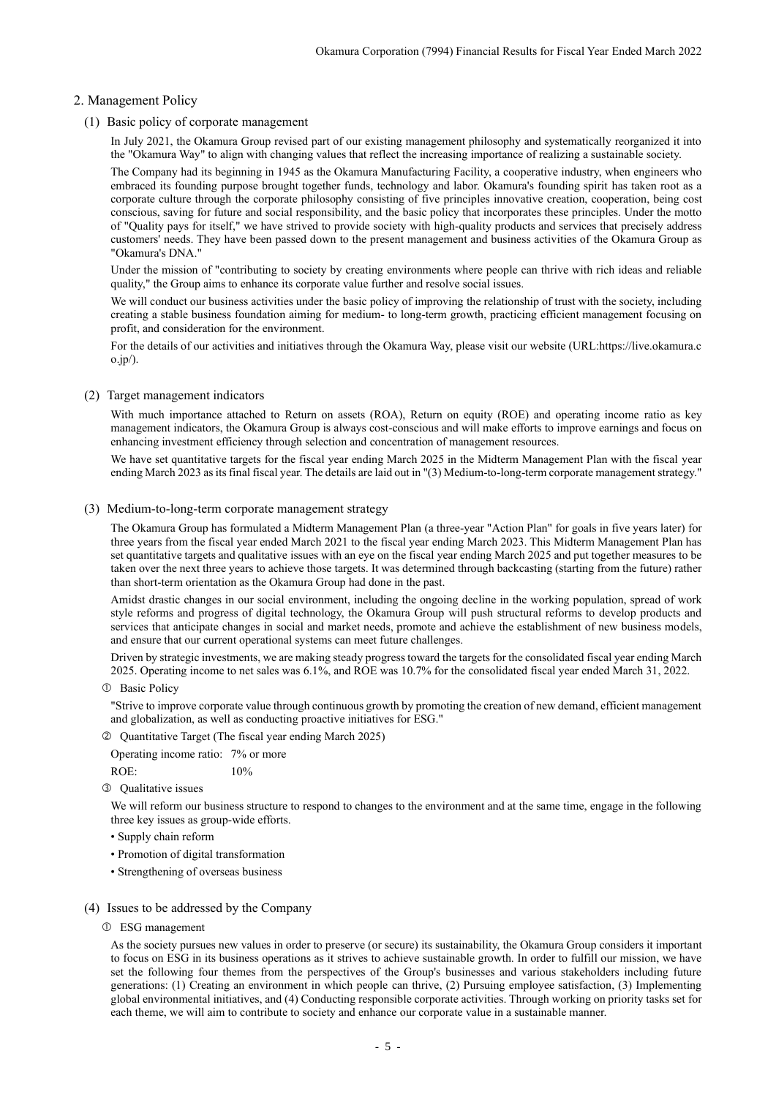## 2. Management Policy

<span id="page-7-0"></span>(1) Basic policy of corporate management

In July 2021, the Okamura Group revised part of our existing management philosophy and systematically reorganized it into the "Okamura Way" to align with changing values that reflect the increasing importance of realizing a sustainable society.

The Company had its beginning in 1945 as the Okamura Manufacturing Facility, a cooperative industry, when engineers who embraced its founding purpose brought together funds, technology and labor. Okamura's founding spirit has taken root as a corporate culture through the corporate philosophy consisting of five principles innovative creation, cooperation, being cost conscious, saving for future and social responsibility, and the basic policy that incorporates these principles. Under the motto of "Quality pays for itself," we have strived to provide society with high-quality products and services that precisely address customers' needs. They have been passed down to the present management and business activities of the Okamura Group as "Okamura's DNA."

Under the mission of "contributing to society by creating environments where people can thrive with rich ideas and reliable quality," the Group aims to enhance its corporate value further and resolve social issues.

We will conduct our business activities under the basic policy of improving the relationship of trust with the society, including creating a stable business foundation aiming for medium- to long-term growth, practicing efficient management focusing on profit, and consideration for the environment.

For the details of our activities and initiatives through the Okamura Way, please visit our website (URL:https://live.okamura.c o.jp/).

#### <span id="page-7-1"></span>(2) Target management indicators

With much importance attached to Return on assets (ROA), Return on equity (ROE) and operating income ratio as key management indicators, the Okamura Group is always cost-conscious and will make efforts to improve earnings and focus on enhancing investment efficiency through selection and concentration of management resources.

We have set quantitative targets for the fiscal year ending March 2025 in the Midterm Management Plan with the fiscal year ending March 2023 as its final fiscal year. The details are laid out in "(3) Medium-to-long-term corporate management strategy."

#### <span id="page-7-2"></span>(3) Medium-to-long-term corporate management strategy

The Okamura Group has formulated a Midterm Management Plan (a three-year "Action Plan" for goals in five years later) for three years from the fiscal year ended March 2021 to the fiscal year ending March 2023. This Midterm Management Plan has set quantitative targets and qualitative issues with an eye on the fiscal year ending March 2025 and put together measures to be taken over the next three years to achieve those targets. It was determined through backcasting (starting from the future) rather than short-term orientation as the Okamura Group had done in the past.

Amidst drastic changes in our social environment, including the ongoing decline in the working population, spread of work style reforms and progress of digital technology, the Okamura Group will push structural reforms to develop products and services that anticipate changes in social and market needs, promote and achieve the establishment of new business models, and ensure that our current operational systems can meet future challenges.

Driven by strategic investments, we are making steady progress toward the targets for the consolidated fiscal year ending March 2025. Operating income to net sales was 6.1%, and ROE was 10.7% for the consolidated fiscal year ended March 31, 2022.

Basic Policy

"Strive to improve corporate value through continuous growth by promoting the creation of new demand, efficient management and globalization, as well as conducting proactive initiatives for ESG."

Quantitative Target (The fiscal year ending March 2025)

Operating income ratio: 7% or more ROE: 10%

Qualitative issues

We will reform our business structure to respond to changes to the environment and at the same time, engage in the following three key issues as group-wide efforts.

- Supply chain reform
- Promotion of digital transformation
- Strengthening of overseas business
- <span id="page-7-3"></span>(4) Issues to be addressed by the Company
	- ESG management

As the society pursues new values in order to preserve (or secure) its sustainability, the Okamura Group considers it important to focus on ESG in its business operations as it strives to achieve sustainable growth. In order to fulfill our mission, we have set the following four themes from the perspectives of the Group's businesses and various stakeholders including future generations: (1) Creating an environment in which people can thrive, (2) Pursuing employee satisfaction, (3) Implementing global environmental initiatives, and (4) Conducting responsible corporate activities. Through working on priority tasks set for each theme, we will aim to contribute to society and enhance our corporate value in a sustainable manner.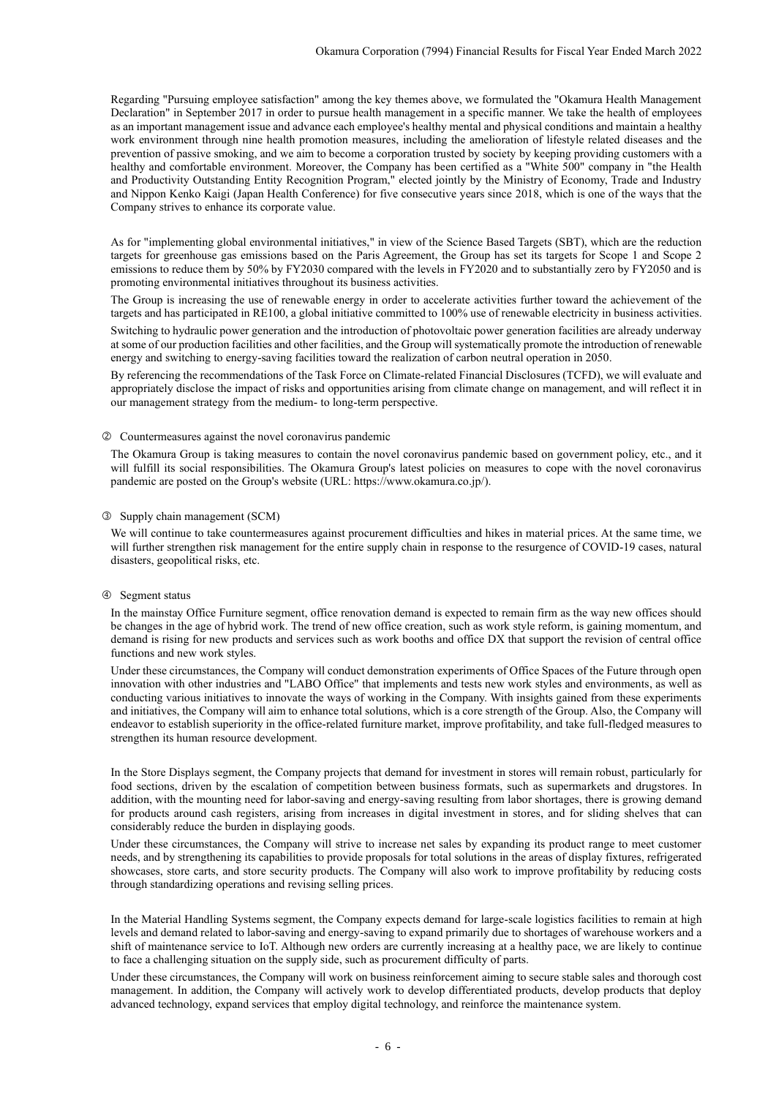Regarding "Pursuing employee satisfaction" among the key themes above, we formulated the "Okamura Health Management Declaration" in September 2017 in order to pursue health management in a specific manner. We take the health of employees as an important management issue and advance each employee's healthy mental and physical conditions and maintain a healthy work environment through nine health promotion measures, including the amelioration of lifestyle related diseases and the prevention of passive smoking, and we aim to become a corporation trusted by society by keeping providing customers with a healthy and comfortable environment. Moreover, the Company has been certified as a "White 500" company in "the Health and Productivity Outstanding Entity Recognition Program," elected jointly by the Ministry of Economy, Trade and Industry and Nippon Kenko Kaigi (Japan Health Conference) for five consecutive years since 2018, which is one of the ways that the Company strives to enhance its corporate value.

As for "implementing global environmental initiatives," in view of the Science Based Targets (SBT), which are the reduction targets for greenhouse gas emissions based on the Paris Agreement, the Group has set its targets for Scope 1 and Scope 2 emissions to reduce them by 50% by FY2030 compared with the levels in FY2020 and to substantially zero by FY2050 and is promoting environmental initiatives throughout its business activities.

The Group is increasing the use of renewable energy in order to accelerate activities further toward the achievement of the targets and has participated in RE100, a global initiative committed to 100% use of renewable electricity in business activities.

Switching to hydraulic power generation and the introduction of photovoltaic power generation facilities are already underway at some of our production facilities and other facilities, and the Group will systematically promote the introduction of renewable energy and switching to energy-saving facilities toward the realization of carbon neutral operation in 2050.

By referencing the recommendations of the Task Force on Climate-related Financial Disclosures (TCFD), we will evaluate and appropriately disclose the impact of risks and opportunities arising from climate change on management, and will reflect it in our management strategy from the medium- to long-term perspective.

#### Countermeasures against the novel coronavirus pandemic

The Okamura Group is taking measures to contain the novel coronavirus pandemic based on government policy, etc., and it will fulfill its social responsibilities. The Okamura Group's latest policies on measures to cope with the novel coronavirus pandemic are posted on the Group's website (URL: https://www.okamura.co.jp/).

#### Supply chain management (SCM)

We will continue to take countermeasures against procurement difficulties and hikes in material prices. At the same time, we will further strengthen risk management for the entire supply chain in response to the resurgence of COVID-19 cases, natural disasters, geopolitical risks, etc.

#### Segment status

In the mainstay Office Furniture segment, office renovation demand is expected to remain firm as the way new offices should be changes in the age of hybrid work. The trend of new office creation, such as work style reform, is gaining momentum, and demand is rising for new products and services such as work booths and office DX that support the revision of central office functions and new work styles.

Under these circumstances, the Company will conduct demonstration experiments of Office Spaces of the Future through open innovation with other industries and "LABO Office" that implements and tests new work styles and environments, as well as conducting various initiatives to innovate the ways of working in the Company. With insights gained from these experiments and initiatives, the Company will aim to enhance total solutions, which is a core strength of the Group. Also, the Company will endeavor to establish superiority in the office-related furniture market, improve profitability, and take full-fledged measures to strengthen its human resource development.

In the Store Displays segment, the Company projects that demand for investment in stores will remain robust, particularly for food sections, driven by the escalation of competition between business formats, such as supermarkets and drugstores. In addition, with the mounting need for labor-saving and energy-saving resulting from labor shortages, there is growing demand for products around cash registers, arising from increases in digital investment in stores, and for sliding shelves that can considerably reduce the burden in displaying goods.

Under these circumstances, the Company will strive to increase net sales by expanding its product range to meet customer needs, and by strengthening its capabilities to provide proposals for total solutions in the areas of display fixtures, refrigerated showcases, store carts, and store security products. The Company will also work to improve profitability by reducing costs through standardizing operations and revising selling prices.

In the Material Handling Systems segment, the Company expects demand for large-scale logistics facilities to remain at high levels and demand related to labor-saving and energy-saving to expand primarily due to shortages of warehouse workers and a shift of maintenance service to IoT. Although new orders are currently increasing at a healthy pace, we are likely to continue to face a challenging situation on the supply side, such as procurement difficulty of parts.

Under these circumstances, the Company will work on business reinforcement aiming to secure stable sales and thorough cost management. In addition, the Company will actively work to develop differentiated products, develop products that deploy advanced technology, expand services that employ digital technology, and reinforce the maintenance system.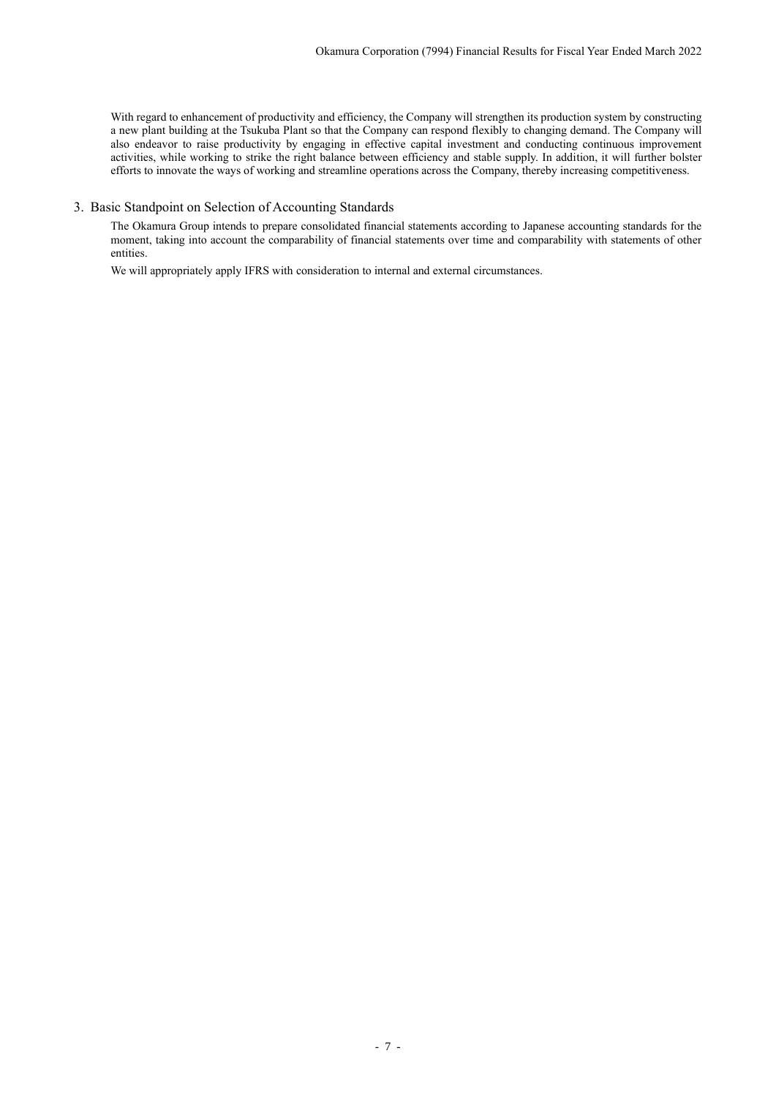With regard to enhancement of productivity and efficiency, the Company will strengthen its production system by constructing a new plant building at the Tsukuba Plant so that the Company can respond flexibly to changing demand. The Company will also endeavor to raise productivity by engaging in effective capital investment and conducting continuous improvement activities, while working to strike the right balance between efficiency and stable supply. In addition, it will further bolster efforts to innovate the ways of working and streamline operations across the Company, thereby increasing competitiveness.

## <span id="page-9-0"></span>3. Basic Standpoint on Selection of Accounting Standards

The Okamura Group intends to prepare consolidated financial statements according to Japanese accounting standards for the moment, taking into account the comparability of financial statements over time and comparability with statements of other entities.

We will appropriately apply IFRS with consideration to internal and external circumstances.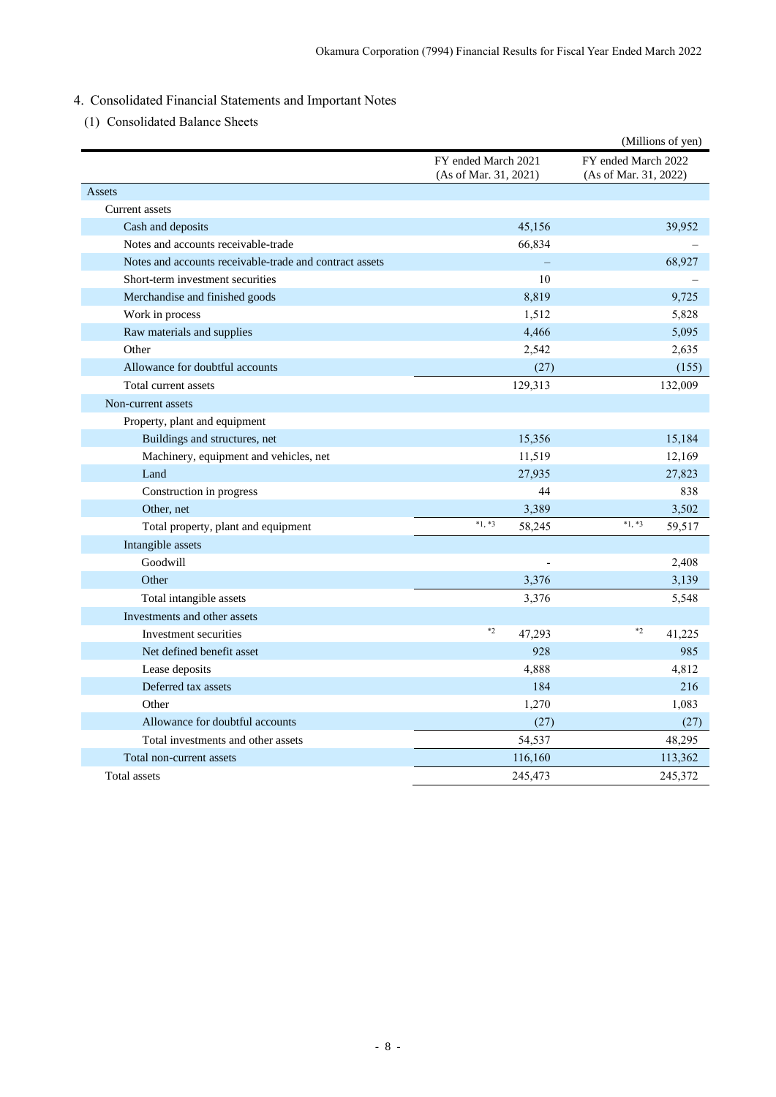# <span id="page-10-0"></span>4. Consolidated Financial Statements and Important Notes

<span id="page-10-1"></span>(1) Consolidated Balance Sheets

|                                                         |                                              | (Millions of yen)                            |
|---------------------------------------------------------|----------------------------------------------|----------------------------------------------|
|                                                         | FY ended March 2021<br>(As of Mar. 31, 2021) | FY ended March 2022<br>(As of Mar. 31, 2022) |
| Assets                                                  |                                              |                                              |
| Current assets                                          |                                              |                                              |
| Cash and deposits                                       | 45,156                                       | 39,952                                       |
| Notes and accounts receivable-trade                     | 66,834                                       |                                              |
| Notes and accounts receivable-trade and contract assets |                                              | 68,927                                       |
| Short-term investment securities                        | 10                                           |                                              |
| Merchandise and finished goods                          | 8,819                                        | 9,725                                        |
| Work in process                                         | 1,512                                        | 5,828                                        |
| Raw materials and supplies                              | 4,466                                        | 5,095                                        |
| Other                                                   | 2,542                                        | 2,635                                        |
| Allowance for doubtful accounts                         | (27)                                         | (155)                                        |
| Total current assets                                    | 129,313                                      | 132,009                                      |
| Non-current assets                                      |                                              |                                              |
| Property, plant and equipment                           |                                              |                                              |
| Buildings and structures, net                           | 15,356                                       | 15,184                                       |
| Machinery, equipment and vehicles, net                  | 11,519                                       | 12,169                                       |
| Land                                                    | 27,935                                       | 27,823                                       |
| Construction in progress                                | 44                                           | 838                                          |
| Other, net                                              | 3,389                                        | 3,502                                        |
| Total property, plant and equipment                     | $*1, *3$<br>58,245                           | $*1, *3$<br>59,517                           |
| Intangible assets                                       |                                              |                                              |
| Goodwill                                                |                                              | 2,408                                        |
| Other                                                   | 3,376                                        | 3,139                                        |
| Total intangible assets                                 | 3,376                                        | 5,548                                        |
| Investments and other assets                            |                                              |                                              |
| Investment securities                                   | $*2$<br>47,293                               | $*2$<br>41,225                               |
| Net defined benefit asset                               | 928                                          | 985                                          |
| Lease deposits                                          | 4,888                                        | 4,812                                        |
| Deferred tax assets                                     | 184                                          | 216                                          |
| Other                                                   | 1,270                                        | 1,083                                        |
| Allowance for doubtful accounts                         | (27)                                         | (27)                                         |
| Total investments and other assets                      | 54,537                                       | 48,295                                       |
| Total non-current assets                                | 116,160                                      | 113,362                                      |
| Total assets                                            | 245,473                                      | 245,372                                      |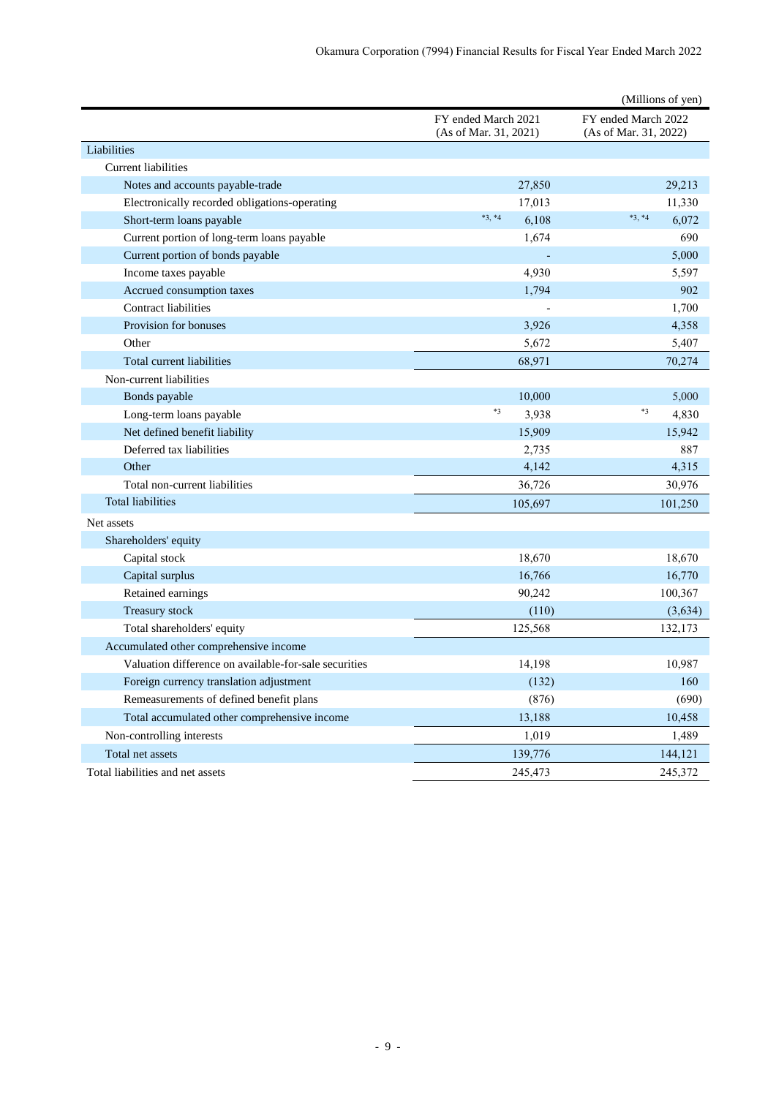|                                                       |                                              | (Millions of yen)                            |
|-------------------------------------------------------|----------------------------------------------|----------------------------------------------|
|                                                       | FY ended March 2021<br>(As of Mar. 31, 2021) | FY ended March 2022<br>(As of Mar. 31, 2022) |
| Liabilities                                           |                                              |                                              |
| <b>Current liabilities</b>                            |                                              |                                              |
| Notes and accounts payable-trade                      | 27,850                                       | 29,213                                       |
| Electronically recorded obligations-operating         | 17,013                                       | 11,330                                       |
| Short-term loans payable                              | $*3, *4$<br>6,108                            | $*3, *4$<br>6,072                            |
| Current portion of long-term loans payable            | 1,674                                        | 690                                          |
| Current portion of bonds payable                      |                                              | 5,000                                        |
| Income taxes payable                                  | 4,930                                        | 5,597                                        |
| Accrued consumption taxes                             | 1,794                                        | 902                                          |
| <b>Contract liabilities</b>                           |                                              | 1,700                                        |
| Provision for bonuses                                 | 3,926                                        | 4,358                                        |
| Other                                                 | 5,672                                        | 5,407                                        |
| Total current liabilities                             | 68,971                                       | 70,274                                       |
| Non-current liabilities                               |                                              |                                              |
| Bonds payable                                         | 10,000                                       | 5,000                                        |
| Long-term loans payable                               | $*3$<br>3,938                                | $*3$<br>4,830                                |
| Net defined benefit liability                         | 15,909                                       | 15,942                                       |
| Deferred tax liabilities                              | 2,735                                        | 887                                          |
| Other                                                 | 4,142                                        | 4,315                                        |
| Total non-current liabilities                         | 36,726                                       | 30,976                                       |
| <b>Total liabilities</b>                              | 105,697                                      | 101,250                                      |
| Net assets                                            |                                              |                                              |
| Shareholders' equity                                  |                                              |                                              |
| Capital stock                                         | 18,670                                       | 18,670                                       |
| Capital surplus                                       | 16,766                                       | 16,770                                       |
| Retained earnings                                     | 90,242                                       | 100,367                                      |
| Treasury stock                                        | (110)                                        | (3, 634)                                     |
| Total shareholders' equity                            | 125,568                                      | 132,173                                      |
| Accumulated other comprehensive income                |                                              |                                              |
| Valuation difference on available-for-sale securities | 14,198                                       | 10,987                                       |
| Foreign currency translation adjustment               | (132)                                        | 160                                          |
| Remeasurements of defined benefit plans               | (876)                                        | (690)                                        |
| Total accumulated other comprehensive income          | 13,188                                       | 10,458                                       |
| Non-controlling interests                             | 1,019                                        | 1,489                                        |
| Total net assets                                      | 139,776                                      | 144,121                                      |
| Total liabilities and net assets                      | 245,473                                      | 245,372                                      |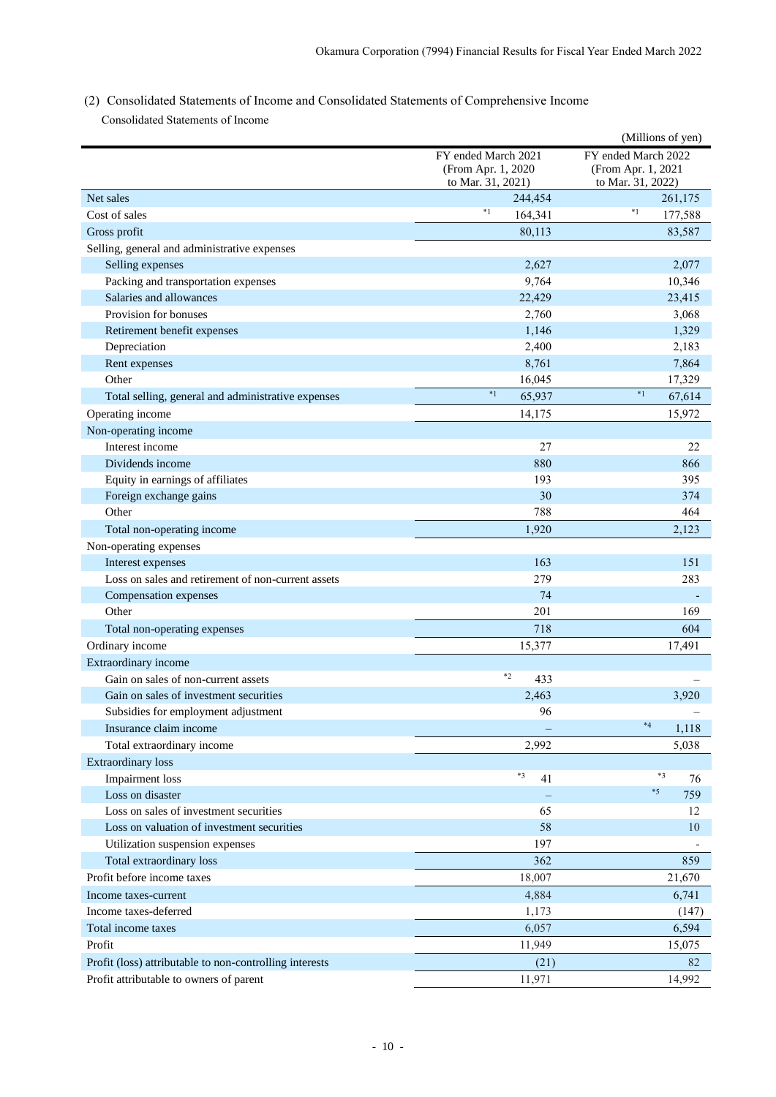<span id="page-12-0"></span>(2) Consolidated Statements of Income and Consolidated Statements of Comprehensive Income Consolidated Statements of Income

|                                                         |                     | (Millions of yen)   |  |
|---------------------------------------------------------|---------------------|---------------------|--|
|                                                         | FY ended March 2021 | FY ended March 2022 |  |
|                                                         | (From Apr. 1, 2020) | (From Apr. 1, 2021  |  |
|                                                         | to Mar. 31, 2021)   | to Mar. 31, 2022)   |  |
| Net sales                                               | 244,454             | 261,175             |  |
| Cost of sales                                           | $*_{1}$<br>164,341  | $*1$<br>177,588     |  |
| Gross profit                                            | 80.113              | 83,587              |  |
| Selling, general and administrative expenses            |                     |                     |  |
| Selling expenses                                        | 2,627               | 2,077               |  |
| Packing and transportation expenses                     | 9,764               | 10,346              |  |
| Salaries and allowances                                 | 22,429              | 23,415              |  |
| Provision for bonuses                                   | 2,760               | 3,068               |  |
| Retirement benefit expenses                             | 1,146               | 1,329               |  |
| Depreciation                                            | 2,400               | 2,183               |  |
| Rent expenses                                           | 8,761               | 7,864               |  |
| Other                                                   | 16,045              | 17,329              |  |
| Total selling, general and administrative expenses      | $*1$<br>65,937      | $*1$<br>67,614      |  |
| Operating income                                        | 14.175              | 15,972              |  |
| Non-operating income                                    |                     |                     |  |
| Interest income                                         | 27                  | 22                  |  |
| Dividends income                                        | 880                 | 866                 |  |
| Equity in earnings of affiliates                        | 193                 | 395                 |  |
|                                                         | 30                  | 374                 |  |
| Foreign exchange gains<br>Other                         |                     |                     |  |
|                                                         | 788                 | 464                 |  |
| Total non-operating income                              | 1,920               | 2,123               |  |
| Non-operating expenses                                  |                     |                     |  |
| Interest expenses                                       | 163                 | 151                 |  |
| Loss on sales and retirement of non-current assets      | 279                 | 283                 |  |
| Compensation expenses                                   | 74                  |                     |  |
| Other                                                   | 201                 | 169                 |  |
| Total non-operating expenses                            | 718                 | 604                 |  |
| Ordinary income                                         | 15,377              | 17,491              |  |
| Extraordinary income                                    |                     |                     |  |
| Gain on sales of non-current assets                     | $*2$<br>433         |                     |  |
| Gain on sales of investment securities                  | 2,463               | 3.920               |  |
| Subsidies for employment adjustment                     | 96                  |                     |  |
| Insurance claim income                                  |                     | $*4$<br>1,118       |  |
| Total extraordinary income                              | 2,992               | 5,038               |  |
| Extraordinary loss                                      |                     |                     |  |
| <b>Impairment</b> loss                                  | $*3$<br>41          | $*3$<br>76          |  |
| Loss on disaster                                        |                     | $*5$<br>759         |  |
| Loss on sales of investment securities                  | 65                  | 12                  |  |
| Loss on valuation of investment securities              | 58                  | 10                  |  |
| Utilization suspension expenses                         | 197                 |                     |  |
| Total extraordinary loss                                | 362                 | 859                 |  |
|                                                         |                     |                     |  |
| Profit before income taxes                              | 18,007              | 21,670              |  |
| Income taxes-current                                    | 4,884               | 6,741               |  |
| Income taxes-deferred                                   | 1,173               | (147)               |  |
| Total income taxes                                      | 6,057               | 6,594               |  |
| Profit                                                  | 11,949              | 15,075              |  |
| Profit (loss) attributable to non-controlling interests | (21)                | 82                  |  |
| Profit attributable to owners of parent                 | 11,971              | 14,992              |  |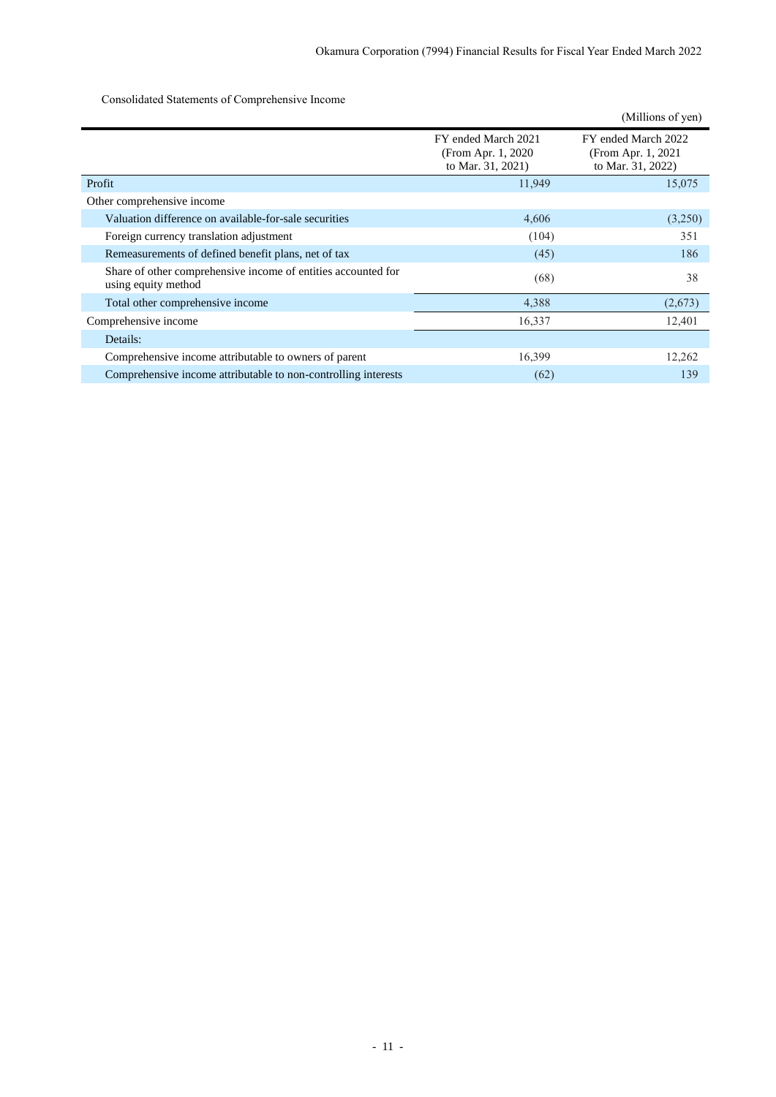Consolidated Statements of Comprehensive Income

|                                                                                      |                                                                 | (Millions of yen)                                               |
|--------------------------------------------------------------------------------------|-----------------------------------------------------------------|-----------------------------------------------------------------|
|                                                                                      | FY ended March 2021<br>(From Apr. 1, 2020)<br>to Mar. 31, 2021) | FY ended March 2022<br>(From Apr. 1, 2021)<br>to Mar. 31, 2022) |
| Profit                                                                               | 11,949                                                          | 15,075                                                          |
| Other comprehensive income                                                           |                                                                 |                                                                 |
| Valuation difference on available-for-sale securities                                | 4,606                                                           | (3,250)                                                         |
| Foreign currency translation adjustment                                              | (104)                                                           | 351                                                             |
| Remeasurements of defined benefit plans, net of tax                                  | (45)                                                            | 186                                                             |
| Share of other comprehensive income of entities accounted for<br>using equity method | (68)                                                            | 38                                                              |
| Total other comprehensive income                                                     | 4,388                                                           | (2,673)                                                         |
| Comprehensive income                                                                 | 16,337                                                          | 12,401                                                          |
| Details:                                                                             |                                                                 |                                                                 |
| Comprehensive income attributable to owners of parent                                | 16,399                                                          | 12,262                                                          |
| Comprehensive income attributable to non-controlling interests                       | (62)                                                            | 139                                                             |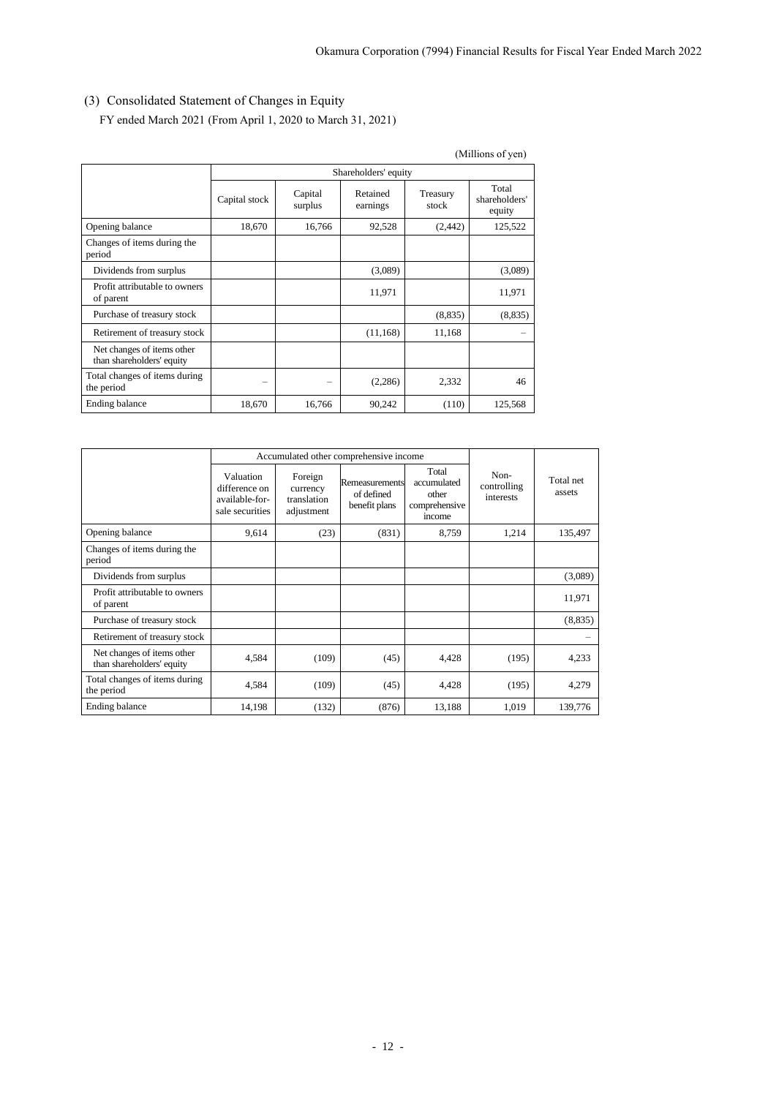# <span id="page-14-0"></span>(3) Consolidated Statement of Changes in Equity

FY ended March 2021 (From April 1, 2020 to March 31, 2021)

|                                                         | (Millions of yen) |                      |                      |                   |                                  |  |  |
|---------------------------------------------------------|-------------------|----------------------|----------------------|-------------------|----------------------------------|--|--|
|                                                         |                   | Shareholders' equity |                      |                   |                                  |  |  |
|                                                         | Capital stock     | Capital<br>surplus   | Retained<br>earnings | Treasury<br>stock | Total<br>shareholders'<br>equity |  |  |
| Opening balance                                         | 18,670            | 16,766               | 92,528               | (2,442)           | 125,522                          |  |  |
| Changes of items during the<br>period                   |                   |                      |                      |                   |                                  |  |  |
| Dividends from surplus                                  |                   |                      | (3,089)              |                   | (3,089)                          |  |  |
| Profit attributable to owners<br>of parent              |                   |                      | 11,971               |                   | 11,971                           |  |  |
| Purchase of treasury stock                              |                   |                      |                      | (8, 835)          | (8,835)                          |  |  |
| Retirement of treasury stock                            |                   |                      | (11, 168)            | 11,168            |                                  |  |  |
| Net changes of items other<br>than shareholders' equity |                   |                      |                      |                   |                                  |  |  |
| Total changes of items during<br>the period             |                   |                      | (2,286)              | 2,332             | 46                               |  |  |
| Ending balance                                          | 18,670            | 16,766               | 90,242               | (110)             | 125,568                          |  |  |

|                                                         |                                                                 | Accumulated other comprehensive income           |                                               |                                                          |                                  |                     |
|---------------------------------------------------------|-----------------------------------------------------------------|--------------------------------------------------|-----------------------------------------------|----------------------------------------------------------|----------------------------------|---------------------|
|                                                         | Valuation<br>difference on<br>available-for-<br>sale securities | Foreign<br>currency<br>translation<br>adjustment | Remeasurements<br>of defined<br>benefit plans | Total<br>accumulated<br>other<br>comprehensive<br>income | Non-<br>controlling<br>interests | Total net<br>assets |
| Opening balance                                         | 9,614                                                           | (23)                                             | (831)                                         | 8,759                                                    | 1,214                            | 135,497             |
| Changes of items during the<br>period                   |                                                                 |                                                  |                                               |                                                          |                                  |                     |
| Dividends from surplus                                  |                                                                 |                                                  |                                               |                                                          |                                  | (3,089)             |
| Profit attributable to owners<br>of parent              |                                                                 |                                                  |                                               |                                                          |                                  | 11,971              |
| Purchase of treasury stock                              |                                                                 |                                                  |                                               |                                                          |                                  | (8, 835)            |
| Retirement of treasury stock                            |                                                                 |                                                  |                                               |                                                          |                                  |                     |
| Net changes of items other<br>than shareholders' equity | 4,584                                                           | (109)                                            | (45)                                          | 4,428                                                    | (195)                            | 4,233               |
| Total changes of items during<br>the period             | 4,584                                                           | (109)                                            | (45)                                          | 4,428                                                    | (195)                            | 4,279               |
| Ending balance                                          | 14,198                                                          | (132)                                            | (876)                                         | 13,188                                                   | 1,019                            | 139,776             |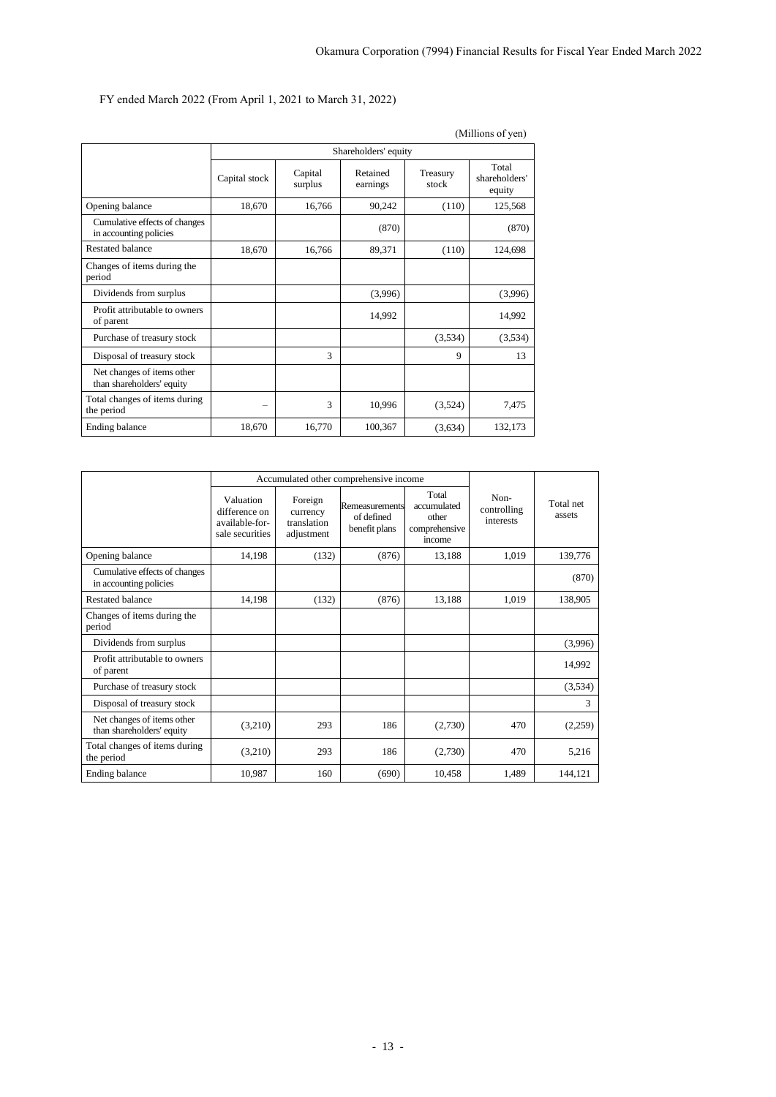FY ended March 2022 (From April 1, 2021 to March 31, 2022)

|                                                         |               |                      |                      |                   | (Millions of yen)                |  |
|---------------------------------------------------------|---------------|----------------------|----------------------|-------------------|----------------------------------|--|
|                                                         |               | Shareholders' equity |                      |                   |                                  |  |
|                                                         | Capital stock | Capital<br>surplus   | Retained<br>earnings | Treasury<br>stock | Total<br>shareholders'<br>equity |  |
| Opening balance                                         | 18,670        | 16,766               | 90,242               | (110)             | 125,568                          |  |
| Cumulative effects of changes<br>in accounting policies |               |                      | (870)                |                   | (870)                            |  |
| Restated balance                                        | 18,670        | 16,766               | 89,371               | (110)             | 124,698                          |  |
| Changes of items during the<br>period                   |               |                      |                      |                   |                                  |  |
| Dividends from surplus                                  |               |                      | (3,996)              |                   | (3,996)                          |  |
| Profit attributable to owners<br>of parent              |               |                      | 14,992               |                   | 14,992                           |  |
| Purchase of treasury stock                              |               |                      |                      | (3,534)           | (3,534)                          |  |
| Disposal of treasury stock                              |               | 3                    |                      | 9                 | 13                               |  |
| Net changes of items other<br>than shareholders' equity |               |                      |                      |                   |                                  |  |
| Total changes of items during<br>the period             | -             | 3                    | 10,996               | (3,524)           | 7,475                            |  |
| Ending balance                                          | 18,670        | 16,770               | 100,367              | (3,634)           | 132,173                          |  |

|                                                         |                                                                 |                                                  | Accumulated other comprehensive income        |                                                          |                                  |                     |
|---------------------------------------------------------|-----------------------------------------------------------------|--------------------------------------------------|-----------------------------------------------|----------------------------------------------------------|----------------------------------|---------------------|
|                                                         | Valuation<br>difference on<br>available-for-<br>sale securities | Foreign<br>currency<br>translation<br>adjustment | Remeasurements<br>of defined<br>benefit plans | Total<br>accumulated<br>other<br>comprehensive<br>income | Non-<br>controlling<br>interests | Total net<br>assets |
| Opening balance                                         | 14,198                                                          | (132)                                            | (876)                                         | 13,188                                                   | 1,019                            | 139,776             |
| Cumulative effects of changes<br>in accounting policies |                                                                 |                                                  |                                               |                                                          |                                  | (870)               |
| <b>Restated balance</b>                                 | 14,198                                                          | (132)                                            | (876)                                         | 13,188                                                   | 1,019                            | 138,905             |
| Changes of items during the<br>period                   |                                                                 |                                                  |                                               |                                                          |                                  |                     |
| Dividends from surplus                                  |                                                                 |                                                  |                                               |                                                          |                                  | (3,996)             |
| Profit attributable to owners<br>of parent              |                                                                 |                                                  |                                               |                                                          |                                  | 14,992              |
| Purchase of treasury stock                              |                                                                 |                                                  |                                               |                                                          |                                  | (3,534)             |
| Disposal of treasury stock                              |                                                                 |                                                  |                                               |                                                          |                                  | 3                   |
| Net changes of items other<br>than shareholders' equity | (3,210)                                                         | 293                                              | 186                                           | (2,730)                                                  | 470                              | (2,259)             |
| Total changes of items during<br>the period             | (3,210)                                                         | 293                                              | 186                                           | (2,730)                                                  | 470                              | 5,216               |
| Ending balance                                          | 10,987                                                          | 160                                              | (690)                                         | 10,458                                                   | 1,489                            | 144,121             |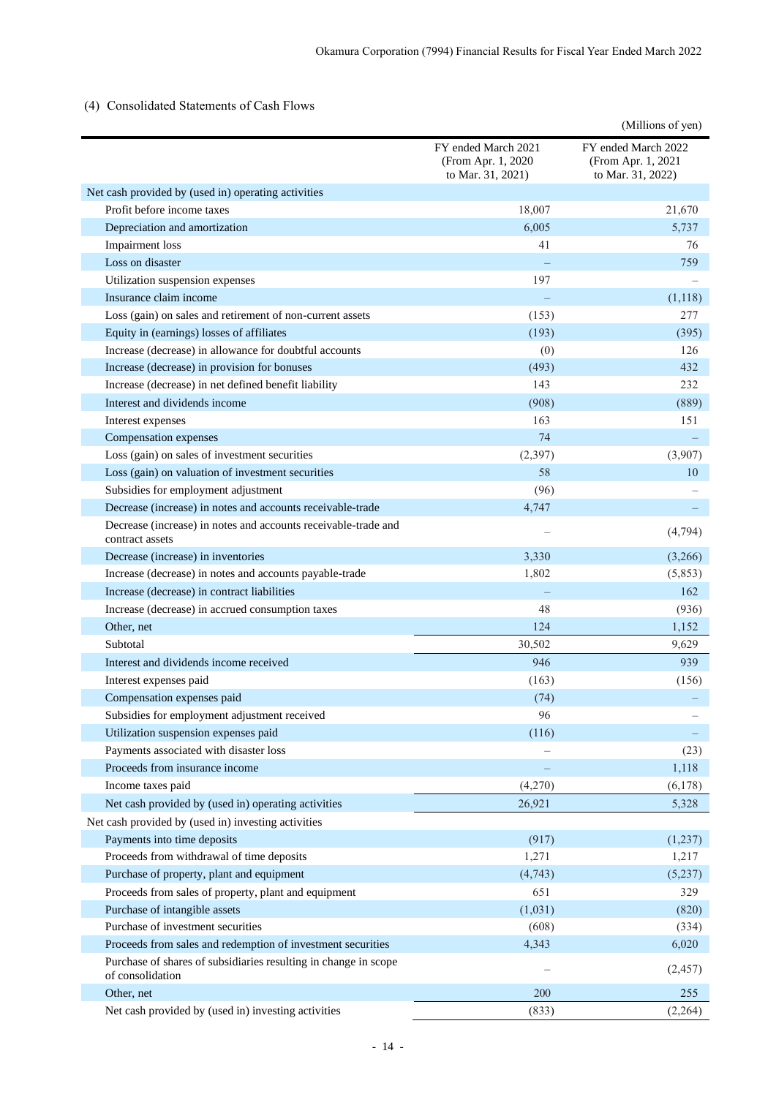## <span id="page-16-0"></span>(4) Consolidated Statements of Cash Flows

|                                                                                     |                                                                | (Millions of yen)                                              |
|-------------------------------------------------------------------------------------|----------------------------------------------------------------|----------------------------------------------------------------|
|                                                                                     | FY ended March 2021<br>(From Apr. 1, 2020<br>to Mar. 31, 2021) | FY ended March 2022<br>(From Apr. 1, 2021<br>to Mar. 31, 2022) |
| Net cash provided by (used in) operating activities                                 |                                                                |                                                                |
| Profit before income taxes                                                          | 18,007                                                         | 21,670                                                         |
| Depreciation and amortization                                                       | 6,005                                                          | 5,737                                                          |
| <b>Impairment</b> loss                                                              | 41                                                             | 76                                                             |
| Loss on disaster                                                                    |                                                                | 759                                                            |
| Utilization suspension expenses                                                     | 197                                                            |                                                                |
| Insurance claim income                                                              |                                                                | (1,118)                                                        |
| Loss (gain) on sales and retirement of non-current assets                           | (153)                                                          | 277                                                            |
| Equity in (earnings) losses of affiliates                                           | (193)                                                          | (395)                                                          |
| Increase (decrease) in allowance for doubtful accounts                              | (0)                                                            | 126                                                            |
| Increase (decrease) in provision for bonuses                                        | (493)                                                          | 432                                                            |
| Increase (decrease) in net defined benefit liability                                | 143                                                            | 232                                                            |
| Interest and dividends income                                                       | (908)                                                          | (889)                                                          |
| Interest expenses                                                                   | 163                                                            | 151                                                            |
| Compensation expenses                                                               | 74                                                             |                                                                |
| Loss (gain) on sales of investment securities                                       | (2, 397)                                                       | (3,907)                                                        |
| Loss (gain) on valuation of investment securities                                   | 58                                                             | 10                                                             |
| Subsidies for employment adjustment                                                 | (96)                                                           |                                                                |
| Decrease (increase) in notes and accounts receivable-trade                          | 4,747                                                          |                                                                |
| Decrease (increase) in notes and accounts receivable-trade and<br>contract assets   |                                                                | (4,794)                                                        |
| Decrease (increase) in inventories                                                  | 3,330                                                          | (3,266)                                                        |
| Increase (decrease) in notes and accounts payable-trade                             | 1,802                                                          | (5,853)                                                        |
| Increase (decrease) in contract liabilities                                         |                                                                | 162                                                            |
| Increase (decrease) in accrued consumption taxes                                    | 48                                                             | (936)                                                          |
| Other, net                                                                          | 124                                                            | 1,152                                                          |
| Subtotal                                                                            | 30,502                                                         | 9,629                                                          |
| Interest and dividends income received                                              | 946                                                            | 939                                                            |
| Interest expenses paid                                                              | (163)                                                          | (156)                                                          |
| Compensation expenses paid                                                          | (74)                                                           |                                                                |
| Subsidies for employment adjustment received                                        | 96                                                             |                                                                |
| Utilization suspension expenses paid                                                | (116)                                                          |                                                                |
| Payments associated with disaster loss                                              |                                                                | (23)                                                           |
| Proceeds from insurance income                                                      |                                                                | 1,118                                                          |
| Income taxes paid                                                                   | (4,270)                                                        | (6,178)                                                        |
| Net cash provided by (used in) operating activities                                 | 26,921                                                         | 5,328                                                          |
| Net cash provided by (used in) investing activities                                 |                                                                |                                                                |
| Payments into time deposits                                                         | (917)                                                          | (1,237)                                                        |
| Proceeds from withdrawal of time deposits                                           | 1,271                                                          | 1,217                                                          |
| Purchase of property, plant and equipment                                           | (4,743)                                                        | (5,237)                                                        |
| Proceeds from sales of property, plant and equipment                                | 651                                                            | 329                                                            |
| Purchase of intangible assets                                                       | (1,031)                                                        | (820)                                                          |
| Purchase of investment securities                                                   | (608)                                                          | (334)                                                          |
| Proceeds from sales and redemption of investment securities                         | 4,343                                                          | 6,020                                                          |
| Purchase of shares of subsidiaries resulting in change in scope<br>of consolidation |                                                                | (2,457)                                                        |
| Other, net                                                                          | 200                                                            | 255                                                            |
| Net cash provided by (used in) investing activities                                 | (833)                                                          | (2,264)                                                        |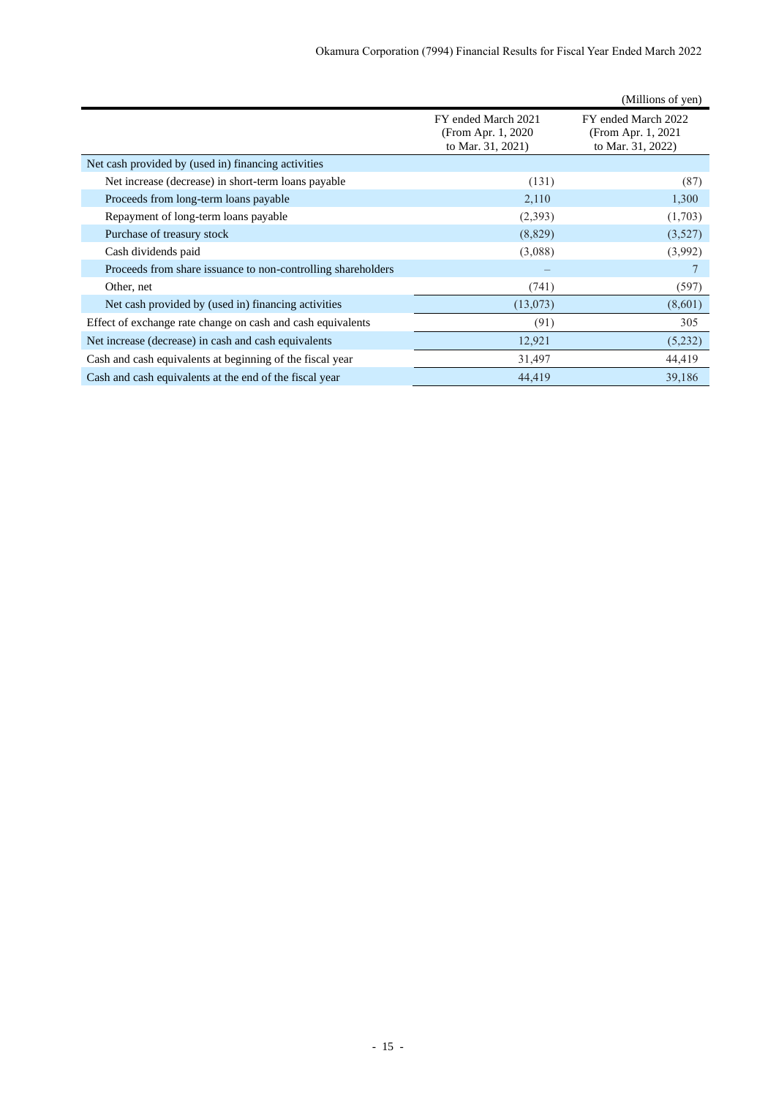|                                                              |                                                                 | (Millions of yen)                                               |
|--------------------------------------------------------------|-----------------------------------------------------------------|-----------------------------------------------------------------|
|                                                              | FY ended March 2021<br>(From Apr. 1, 2020)<br>to Mar. 31, 2021) | FY ended March 2022<br>(From Apr. 1, 2021)<br>to Mar. 31, 2022) |
| Net cash provided by (used in) financing activities          |                                                                 |                                                                 |
| Net increase (decrease) in short-term loans payable          | (131)                                                           | (87)                                                            |
| Proceeds from long-term loans payable                        | 2,110                                                           | 1,300                                                           |
| Repayment of long-term loans payable                         | (2,393)                                                         | (1,703)                                                         |
| Purchase of treasury stock                                   | (8,829)                                                         | (3,527)                                                         |
| Cash dividends paid                                          | (3,088)                                                         | (3,992)                                                         |
| Proceeds from share issuance to non-controlling shareholders |                                                                 |                                                                 |
| Other, net                                                   | (741)                                                           | (597)                                                           |
| Net cash provided by (used in) financing activities          | (13,073)                                                        | (8,601)                                                         |
| Effect of exchange rate change on cash and cash equivalents  | (91)                                                            | 305                                                             |
| Net increase (decrease) in cash and cash equivalents         | 12,921                                                          | (5,232)                                                         |
| Cash and cash equivalents at beginning of the fiscal year    | 31,497                                                          | 44,419                                                          |
| Cash and cash equivalents at the end of the fiscal year      | 44,419                                                          | 39,186                                                          |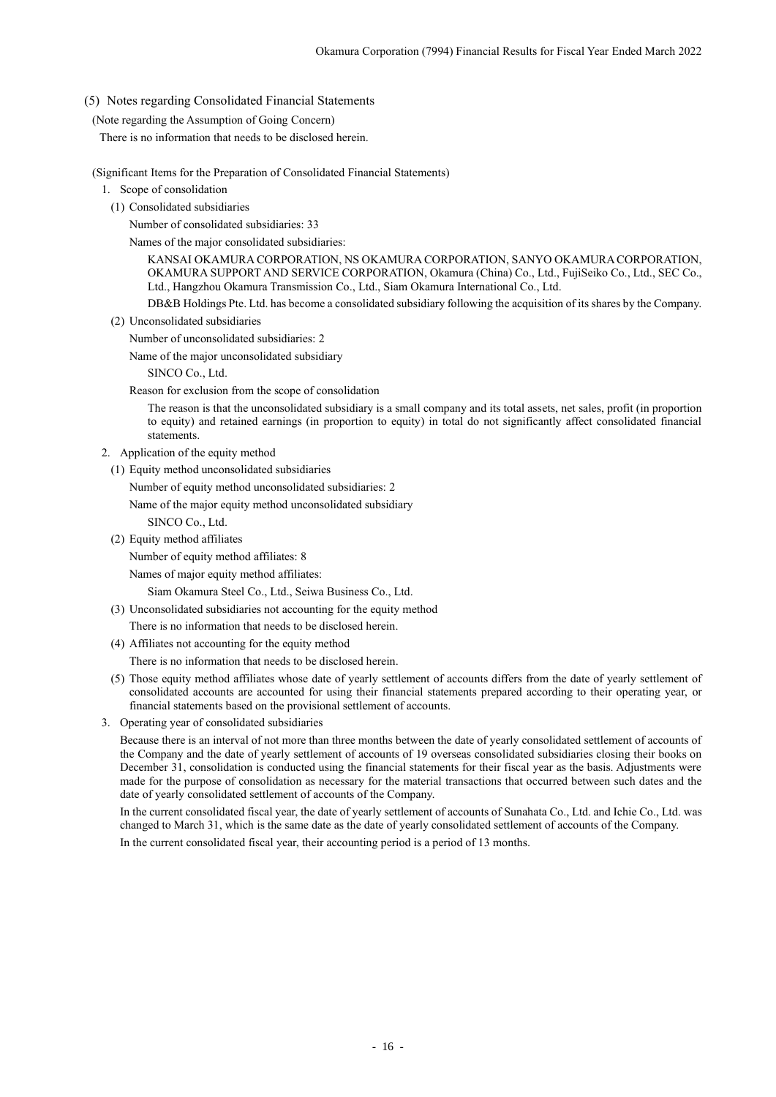## <span id="page-18-0"></span>(5) Notes regarding Consolidated Financial Statements

## <span id="page-18-1"></span>(Note regarding the Assumption of Going Concern)

There is no information that needs to be disclosed herein.

### <span id="page-18-2"></span>(Significant Items for the Preparation of Consolidated Financial Statements)

- 1. Scope of consolidation
	- (1) Consolidated subsidiaries

## Number of consolidated subsidiaries: 33

Names of the major consolidated subsidiaries:

KANSAI OKAMURA CORPORATION, NS OKAMURA CORPORATION, SANYO OKAMURA CORPORATION, OKAMURA SUPPORT AND SERVICE CORPORATION, Okamura (China) Co., Ltd., FujiSeiko Co., Ltd., SEC Co., Ltd., Hangzhou Okamura Transmission Co., Ltd., Siam Okamura International Co., Ltd.

DB&B Holdings Pte. Ltd. has become a consolidated subsidiary following the acquisition of its shares by the Company.

(2) Unconsolidated subsidiaries

Number of unconsolidated subsidiaries: 2

Name of the major unconsolidated subsidiary

SINCO Co., Ltd.

Reason for exclusion from the scope of consolidation

The reason is that the unconsolidated subsidiary is a small company and its total assets, net sales, profit (in proportion to equity) and retained earnings (in proportion to equity) in total do not significantly affect consolidated financial statements.

- 2. Application of the equity method
	- (1) Equity method unconsolidated subsidiaries

Number of equity method unconsolidated subsidiaries: 2

Name of the major equity method unconsolidated subsidiary

- SINCO Co., Ltd.
- (2) Equity method affiliates

Number of equity method affiliates: 8

Names of major equity method affiliates:

Siam Okamura Steel Co., Ltd., Seiwa Business Co., Ltd.

(3) Unconsolidated subsidiaries not accounting for the equity method

There is no information that needs to be disclosed herein.

(4) Affiliates not accounting for the equity method

There is no information that needs to be disclosed herein.

- (5) Those equity method affiliates whose date of yearly settlement of accounts differs from the date of yearly settlement of consolidated accounts are accounted for using their financial statements prepared according to their operating year, or financial statements based on the provisional settlement of accounts.
- 3. Operating year of consolidated subsidiaries

Because there is an interval of not more than three months between the date of yearly consolidated settlement of accounts of the Company and the date of yearly settlement of accounts of 19 overseas consolidated subsidiaries closing their books on December 31, consolidation is conducted using the financial statements for their fiscal year as the basis. Adjustments were made for the purpose of consolidation as necessary for the material transactions that occurred between such dates and the date of yearly consolidated settlement of accounts of the Company.

<span id="page-18-3"></span>In the current consolidated fiscal year, the date of yearly settlement of accounts of Sunahata Co., Ltd. and Ichie Co., Ltd. was changed to March 31, which is the same date as the date of yearly consolidated settlement of accounts of the Company. In the current consolidated fiscal year, their accounting period is a period of 13 months.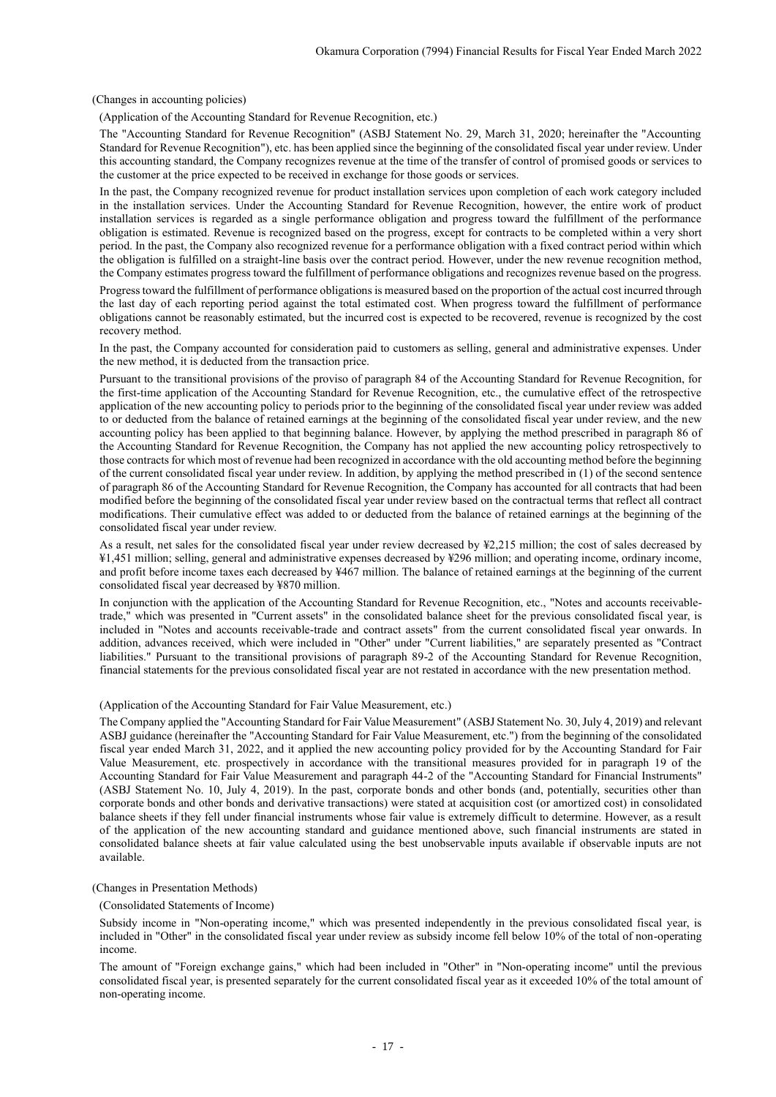(Changes in accounting policies)

(Application of the Accounting Standard for Revenue Recognition, etc.)

The "Accounting Standard for Revenue Recognition" (ASBJ Statement No. 29, March 31, 2020; hereinafter the "Accounting Standard for Revenue Recognition"), etc. has been applied since the beginning of the consolidated fiscal year under review. Under this accounting standard, the Company recognizes revenue at the time of the transfer of control of promised goods or services to the customer at the price expected to be received in exchange for those goods or services.

In the past, the Company recognized revenue for product installation services upon completion of each work category included in the installation services. Under the Accounting Standard for Revenue Recognition, however, the entire work of product installation services is regarded as a single performance obligation and progress toward the fulfillment of the performance obligation is estimated. Revenue is recognized based on the progress, except for contracts to be completed within a very short period. In the past, the Company also recognized revenue for a performance obligation with a fixed contract period within which the obligation is fulfilled on a straight-line basis over the contract period. However, under the new revenue recognition method, the Company estimates progress toward the fulfillment of performance obligations and recognizes revenue based on the progress.

Progress toward the fulfillment of performance obligations is measured based on the proportion of the actual cost incurred through the last day of each reporting period against the total estimated cost. When progress toward the fulfillment of performance obligations cannot be reasonably estimated, but the incurred cost is expected to be recovered, revenue is recognized by the cost recovery method.

In the past, the Company accounted for consideration paid to customers as selling, general and administrative expenses. Under the new method, it is deducted from the transaction price.

Pursuant to the transitional provisions of the proviso of paragraph 84 of the Accounting Standard for Revenue Recognition, for the first-time application of the Accounting Standard for Revenue Recognition, etc., the cumulative effect of the retrospective application of the new accounting policy to periods prior to the beginning of the consolidated fiscal year under review was added to or deducted from the balance of retained earnings at the beginning of the consolidated fiscal year under review, and the new accounting policy has been applied to that beginning balance. However, by applying the method prescribed in paragraph 86 of the Accounting Standard for Revenue Recognition, the Company has not applied the new accounting policy retrospectively to those contracts for which most of revenue had been recognized in accordance with the old accounting method before the beginning of the current consolidated fiscal year under review. In addition, by applying the method prescribed in (1) of the second sentence of paragraph 86 of the Accounting Standard for Revenue Recognition, the Company has accounted for all contracts that had been modified before the beginning of the consolidated fiscal year under review based on the contractual terms that reflect all contract modifications. Their cumulative effect was added to or deducted from the balance of retained earnings at the beginning of the consolidated fiscal year under review.

As a result, net sales for the consolidated fiscal year under review decreased by ¥2,215 million; the cost of sales decreased by ¥1,451 million; selling, general and administrative expenses decreased by ¥296 million; and operating income, ordinary income, and profit before income taxes each decreased by ¥467 million. The balance of retained earnings at the beginning of the current consolidated fiscal year decreased by ¥870 million.

In conjunction with the application of the Accounting Standard for Revenue Recognition, etc., "Notes and accounts receivabletrade," which was presented in "Current assets" in the consolidated balance sheet for the previous consolidated fiscal year, is included in "Notes and accounts receivable-trade and contract assets" from the current consolidated fiscal year onwards. In addition, advances received, which were included in "Other" under "Current liabilities," are separately presented as "Contract liabilities." Pursuant to the transitional provisions of paragraph 89-2 of the Accounting Standard for Revenue Recognition, financial statements for the previous consolidated fiscal year are not restated in accordance with the new presentation method.

#### (Application of the Accounting Standard for Fair Value Measurement, etc.)

The Company applied the "Accounting Standard for Fair Value Measurement" (ASBJ Statement No. 30, July 4, 2019) and relevant ASBJ guidance (hereinafter the "Accounting Standard for Fair Value Measurement, etc.") from the beginning of the consolidated fiscal year ended March 31, 2022, and it applied the new accounting policy provided for by the Accounting Standard for Fair Value Measurement, etc. prospectively in accordance with the transitional measures provided for in paragraph 19 of the Accounting Standard for Fair Value Measurement and paragraph 44-2 of the "Accounting Standard for Financial Instruments" (ASBJ Statement No. 10, July 4, 2019). In the past, corporate bonds and other bonds (and, potentially, securities other than corporate bonds and other bonds and derivative transactions) were stated at acquisition cost (or amortized cost) in consolidated balance sheets if they fell under financial instruments whose fair value is extremely difficult to determine. However, as a result of the application of the new accounting standard and guidance mentioned above, such financial instruments are stated in consolidated balance sheets at fair value calculated using the best unobservable inputs available if observable inputs are not available.

#### <span id="page-19-0"></span>(Changes in Presentation Methods)

(Consolidated Statements of Income)

Subsidy income in "Non-operating income," which was presented independently in the previous consolidated fiscal year, is included in "Other" in the consolidated fiscal year under review as subsidy income fell below 10% of the total of non-operating income.

The amount of "Foreign exchange gains," which had been included in "Other" in "Non-operating income" until the previous consolidated fiscal year, is presented separately for the current consolidated fiscal year as it exceeded 10% of the total amount of non-operating income.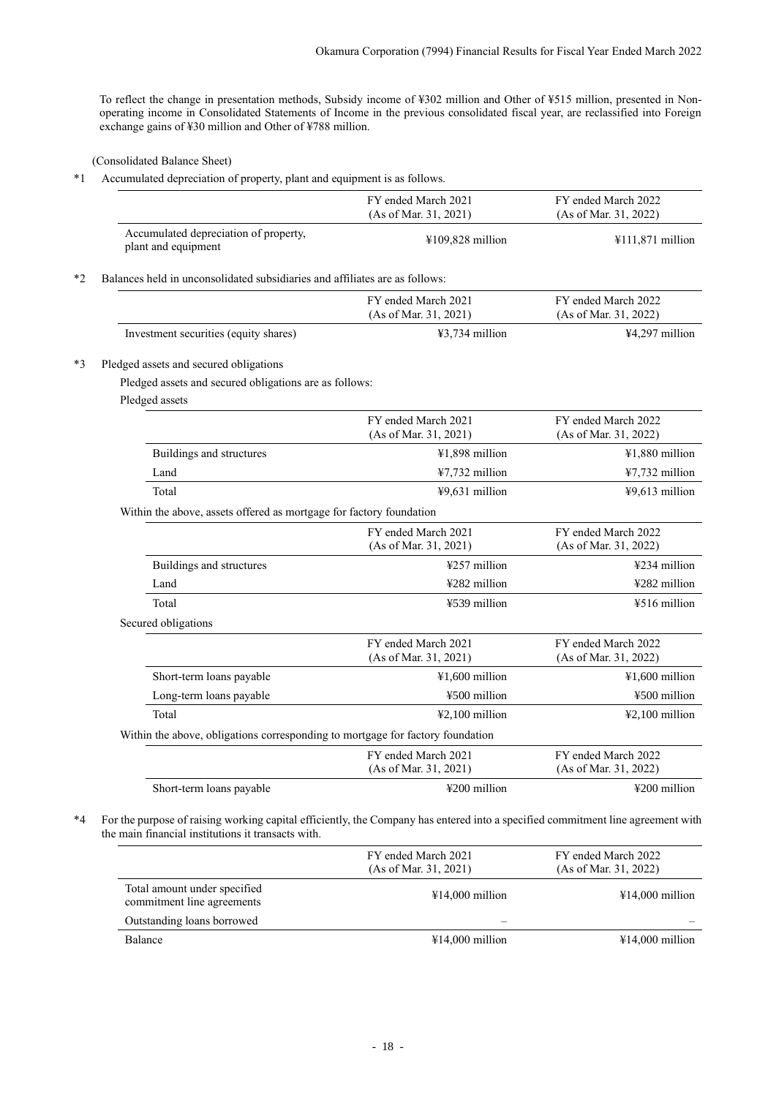To reflect the change in presentation methods, Subsidy income of ¥302 million and Other of ¥515 million, presented in Nonoperating income in Consolidated Statements of Income in the previous consolidated fiscal year, are reclassified into Foreign exchange gains of ¥30 million and Other of ¥788 million.

(Consolidated Balance Sheet)

<span id="page-20-0"></span>\*1 Accumulated depreciation of property, plant and equipment is as follows.

|                                                                                | FY ended March 2021<br>(As of Mar. 31, 2021) | FY ended March 2022<br>(As of Mar. 31, 2022) |
|--------------------------------------------------------------------------------|----------------------------------------------|----------------------------------------------|
| Accumulated depreciation of property,<br>plant and equipment                   | $¥109,828$ million                           | ¥111,871 million                             |
| Balances held in unconsolidated subsidiaries and affiliates are as follows:    |                                              |                                              |
|                                                                                | FY ended March 2021<br>(As of Mar. 31, 2021) | FY ended March 2022<br>(As of Mar. 31, 2022) |
| Investment securities (equity shares)                                          | ¥3,734 million                               | ¥4,297 million                               |
| Pledged assets and secured obligations                                         |                                              |                                              |
| Pledged assets and secured obligations are as follows:                         |                                              |                                              |
| Pledged assets                                                                 |                                              |                                              |
|                                                                                | FY ended March 2021<br>(As of Mar. 31, 2021) | FY ended March 2022<br>(As of Mar. 31, 2022) |
| Buildings and structures                                                       | ¥1,898 million                               | ¥1,880 million                               |
| Land                                                                           | ¥7,732 million                               | ¥7,732 million                               |
| Total                                                                          | $49,631$ million                             | $49,613$ million                             |
| Within the above, assets offered as mortgage for factory foundation            |                                              |                                              |
|                                                                                | FY ended March 2021<br>(As of Mar. 31, 2021) | FY ended March 2022<br>(As of Mar. 31, 2022) |
| Buildings and structures                                                       | ¥257 million                                 | ¥234 million                                 |
| Land                                                                           | ¥282 million                                 | ¥282 million                                 |
| Total                                                                          | ¥539 million                                 | ¥516 million                                 |
| Secured obligations                                                            |                                              |                                              |
|                                                                                | FY ended March 2021<br>(As of Mar. 31, 2021) | FY ended March 2022<br>(As of Mar. 31, 2022) |
| Short-term loans payable                                                       | ¥1,600 million                               | ¥1,600 million                               |
| Long-term loans payable                                                        | ¥500 million                                 | ¥500 million                                 |
| Total                                                                          | $42,100$ million                             | $42,100$ million                             |
| Within the above, obligations corresponding to mortgage for factory foundation |                                              |                                              |
|                                                                                | FY ended March 2021<br>(As of Mar. 31, 2021) | FY ended March 2022<br>(As of Mar. 31, 2022) |
| Short-term loans payable                                                       | ¥200 million                                 | ¥200 million                                 |

|                                                            | FY ended March 2021<br>(As of Mar. 31, 2021) | FY ended March 2022<br>(As of Mar. 31, 2022) |
|------------------------------------------------------------|----------------------------------------------|----------------------------------------------|
| Total amount under specified<br>commitment line agreements | $\text{\#14,000}$ million                    | $\text{\#14,000}$ million                    |
| Outstanding loans borrowed                                 |                                              |                                              |
| Balance                                                    | $\text{\#}14,000$ million                    | $¥14,000$ million                            |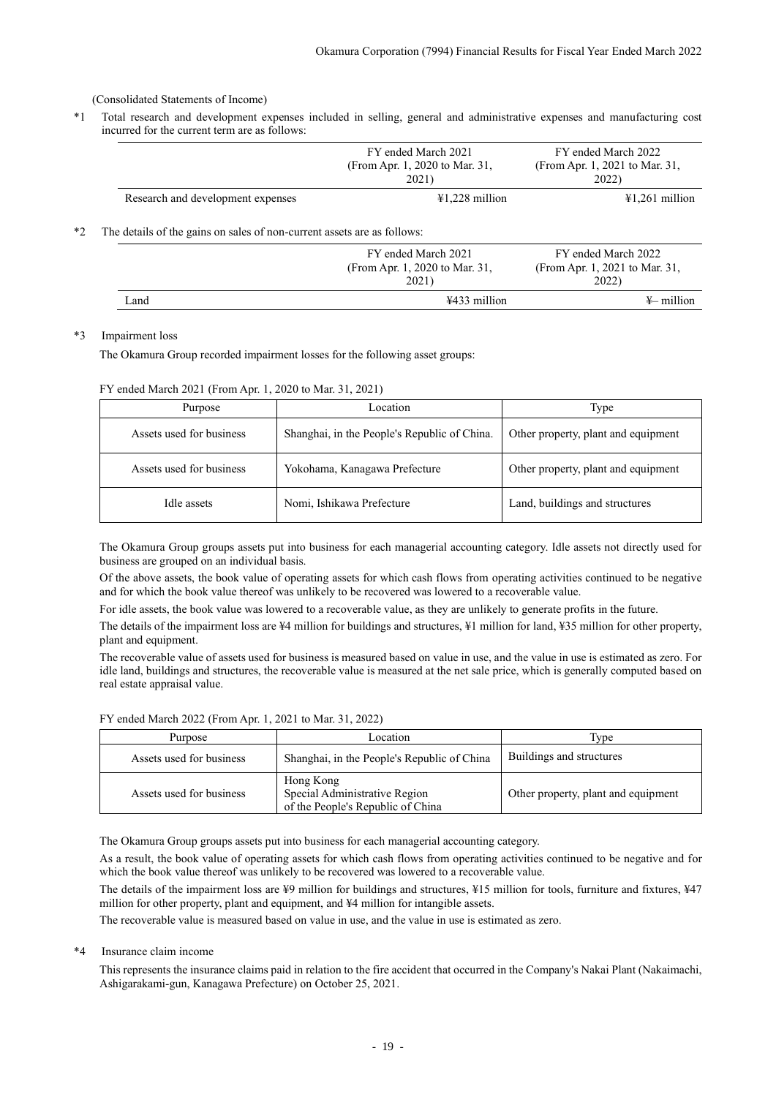<span id="page-21-0"></span>(Consolidated Statements of Income)

\*1 Total research and development expenses included in selling, general and administrative expenses and manufacturing cost incurred for the current term are as follows:

|      |                                                                         | FY ended March 2021<br>(From Apr. 1, 2020 to Mar. 31,<br>2021) | FY ended March 2022<br>(From Apr. 1, 2021 to Mar. 31,<br>2022) |
|------|-------------------------------------------------------------------------|----------------------------------------------------------------|----------------------------------------------------------------|
|      | Research and development expenses                                       | $\text{\textsterling}1.228$ million                            | $\text{\#1,261}$ million                                       |
| $*2$ | The details of the gains on sales of non-current assets are as follows: |                                                                |                                                                |
|      |                                                                         | FY ended March 2021<br>(From Apr. 1, 2020 to Mar. 31,<br>2021) | FY ended March 2022<br>(From Apr. 1, 2021 to Mar. 31,<br>2022) |
|      | Land                                                                    | ¥433 million                                                   | $\frac{1}{2}$ million                                          |

#### \*3 Impairment loss

The Okamura Group recorded impairment losses for the following asset groups:

FY ended March 2021 (From Apr. 1, 2020 to Mar. 31, 2021)

| Purpose                  | Location                                     | Type                                |
|--------------------------|----------------------------------------------|-------------------------------------|
| Assets used for business | Shanghai, in the People's Republic of China. | Other property, plant and equipment |
| Assets used for business | Yokohama, Kanagawa Prefecture                | Other property, plant and equipment |
| Idle assets              | Nomi, Ishikawa Prefecture                    | Land, buildings and structures      |

The Okamura Group groups assets put into business for each managerial accounting category. Idle assets not directly used for business are grouped on an individual basis.

Of the above assets, the book value of operating assets for which cash flows from operating activities continued to be negative and for which the book value thereof was unlikely to be recovered was lowered to a recoverable value.

For idle assets, the book value was lowered to a recoverable value, as they are unlikely to generate profits in the future.

The details of the impairment loss are ¥4 million for buildings and structures, ¥1 million for land, ¥35 million for other property, plant and equipment.

The recoverable value of assets used for business is measured based on value in use, and the value in use is estimated as zero. For idle land, buildings and structures, the recoverable value is measured at the net sale price, which is generally computed based on real estate appraisal value.

FY ended March 2022 (From Apr. 1, 2021 to Mar. 31, 2022)

| Purpose                  | Location                                                                        |                                     |
|--------------------------|---------------------------------------------------------------------------------|-------------------------------------|
| Assets used for business | Shanghai, in the People's Republic of China                                     | Buildings and structures            |
| Assets used for business | Hong Kong<br>Special Administrative Region<br>of the People's Republic of China | Other property, plant and equipment |

The Okamura Group groups assets put into business for each managerial accounting category.

As a result, the book value of operating assets for which cash flows from operating activities continued to be negative and for which the book value thereof was unlikely to be recovered was lowered to a recoverable value.

The details of the impairment loss are ¥9 million for buildings and structures, ¥15 million for tools, furniture and fixtures, ¥47 million for other property, plant and equipment, and ¥4 million for intangible assets.

The recoverable value is measured based on value in use, and the value in use is estimated as zero.

## \*4 Insurance claim income

This represents the insurance claims paid in relation to the fire accident that occurred in the Company's Nakai Plant (Nakaimachi, Ashigarakami-gun, Kanagawa Prefecture) on October 25, 2021.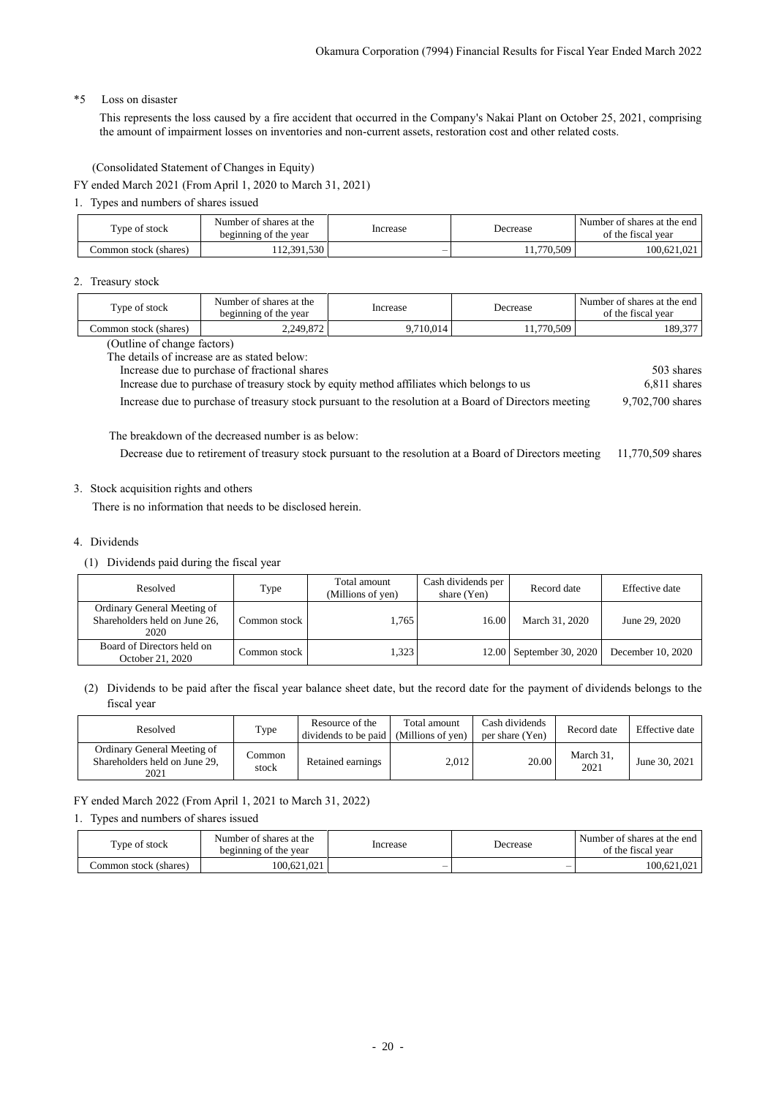## \*5 Loss on disaster

This represents the loss caused by a fire accident that occurred in the Company's Nakai Plant on October 25, 2021, comprising the amount of impairment losses on inventories and non-current assets, restoration cost and other related costs.

(Consolidated Statement of Changes in Equity)

<span id="page-22-0"></span>FY ended March 2021 (From April 1, 2020 to March 31, 2021)

1. Types and numbers of shares issued

| Type of stock         | Number of shares at the<br>beginning of the year | Increase | Decrease   | Number of shares at the end<br>of the fiscal vear |
|-----------------------|--------------------------------------------------|----------|------------|---------------------------------------------------|
| Common stock (shares) | 12.391.530                                       | -        | 11,770,509 | 100.621.021                                       |

### 2. Treasury stock

| Type of stock                                                                                         | Number of shares at the<br>beginning of the year | Increase  | Decrease   | Number of shares at the end<br>of the fiscal year |  |  |  |
|-------------------------------------------------------------------------------------------------------|--------------------------------------------------|-----------|------------|---------------------------------------------------|--|--|--|
| Common stock (shares)                                                                                 | 2,249,872                                        | 9,710,014 | 11,770,509 | 189,377                                           |  |  |  |
|                                                                                                       | (Outline of change factors)                      |           |            |                                                   |  |  |  |
|                                                                                                       | The details of increase are as stated below:     |           |            |                                                   |  |  |  |
| Increase due to purchase of fractional shares                                                         | 503 shares                                       |           |            |                                                   |  |  |  |
| Increase due to purchase of treasury stock by equity method affiliates which belongs to us            | 6,811 shares                                     |           |            |                                                   |  |  |  |
| Increase due to purchase of treasury stock pursuant to the resolution at a Board of Directors meeting | 9,702,700 shares                                 |           |            |                                                   |  |  |  |

The breakdown of the decreased number is as below:

Decrease due to retirement of treasury stock pursuant to the resolution at a Board of Directors meeting 11,770,509 shares

## 3. Stock acquisition rights and others

There is no information that needs to be disclosed herein.

## 4. Dividends

(1) Dividends paid during the fiscal year

| Resolved                                                             | Type         | Total amount<br>(Millions of yen) | Cash dividends per<br>share (Yen) | Record date              | Effective date    |
|----------------------------------------------------------------------|--------------|-----------------------------------|-----------------------------------|--------------------------|-------------------|
| Ordinary General Meeting of<br>Shareholders held on June 26,<br>2020 | Common stock | 1.765                             | 16.00                             | March 31, 2020           | June 29, 2020     |
| Board of Directors held on<br>October 21, 2020                       | Common stock | 1.323                             |                                   | 12.00 September 30, 2020 | December 10, 2020 |

## (2) Dividends to be paid after the fiscal year balance sheet date, but the record date for the payment of dividends belongs to the fiscal year

| Resolved                                                             | Type            | Resource of the<br>dividends to be paid | Total amount<br>(Millions of yen) | Cash dividends<br>per share (Yen) | Record date       | Effective date |
|----------------------------------------------------------------------|-----------------|-----------------------------------------|-----------------------------------|-----------------------------------|-------------------|----------------|
| Ordinary General Meeting of<br>Shareholders held on June 29.<br>2021 | Common<br>stock | Retained earnings                       | 2.012                             | 20.00                             | March 31,<br>2021 | June 30, 2021  |

FY ended March 2022 (From April 1, 2021 to March 31, 2022)

### 1. Types and numbers of shares issued

| Type of stock         | Number of shares at the<br>beginning of the year | Increase                 | Decrease | Number of shares at the end<br>of the fiscal year |
|-----------------------|--------------------------------------------------|--------------------------|----------|---------------------------------------------------|
| Common stock (shares) | 100.621.021                                      | $\overline{\phantom{a}}$ | $\sim$   | 100.621.021                                       |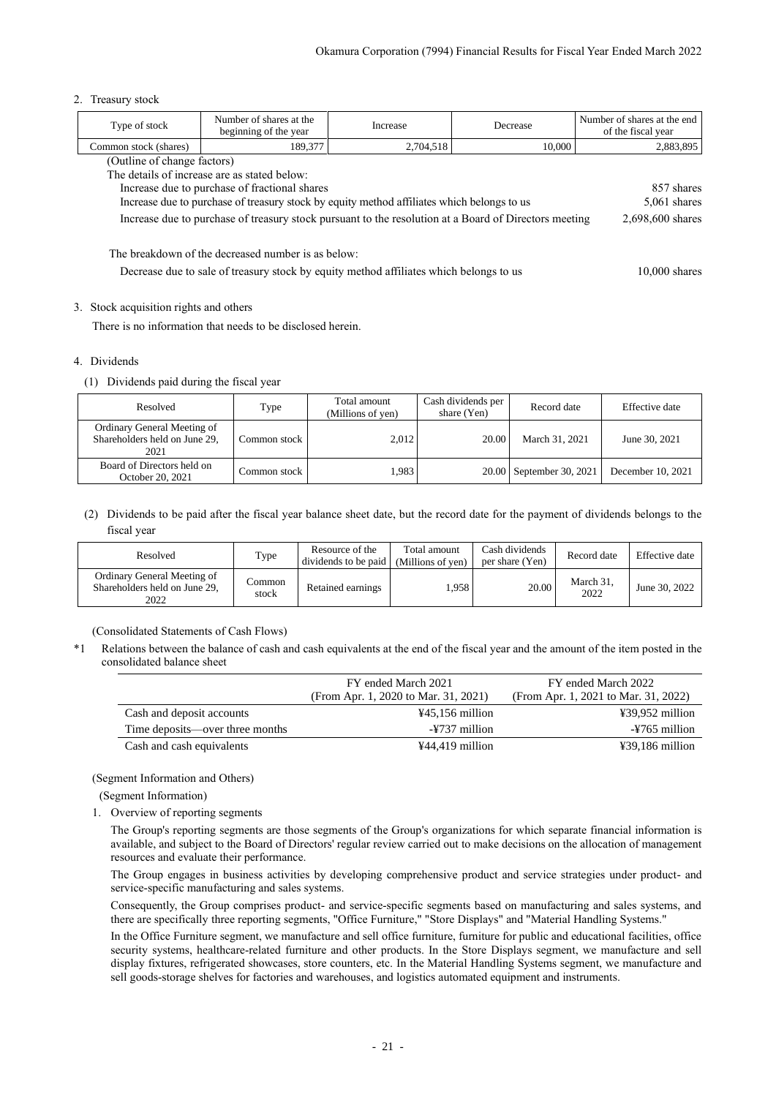#### 2. Treasury stock

| Type of stock                                                                                             | Number of shares at the<br>beginning of the year                                                                          | Increase  | Decrease | Number of shares at the end<br>of the fiscal year |  |  |
|-----------------------------------------------------------------------------------------------------------|---------------------------------------------------------------------------------------------------------------------------|-----------|----------|---------------------------------------------------|--|--|
| Common stock (shares)                                                                                     | 189,377                                                                                                                   | 2,704,518 | 10,000   | 2,883,895                                         |  |  |
| (Outline of change factors)                                                                               |                                                                                                                           |           |          |                                                   |  |  |
|                                                                                                           | The details of increase are as stated below:                                                                              |           |          |                                                   |  |  |
|                                                                                                           | Increase due to purchase of fractional shares                                                                             |           |          | 857 shares                                        |  |  |
|                                                                                                           | Increase due to purchase of treasury stock by equity method affiliates which belongs to us                                |           |          | 5,061 shares                                      |  |  |
|                                                                                                           | Increase due to purchase of treasury stock pursuant to the resolution at a Board of Directors meeting<br>2,698,600 shares |           |          |                                                   |  |  |
|                                                                                                           | The breakdown of the decreased number is as below:                                                                        |           |          |                                                   |  |  |
| Decrease due to sale of treasury stock by equity method affiliates which belongs to us<br>$10,000$ shares |                                                                                                                           |           |          |                                                   |  |  |

#### 3. Stock acquisition rights and others

There is no information that needs to be disclosed herein.

#### 4. Dividends

(1) Dividends paid during the fiscal year

| Resolved                                                             | Type         | Total amount<br>(Millions of yen) | Cash dividends per<br>share $(Yen)$ | Record date              | Effective date    |
|----------------------------------------------------------------------|--------------|-----------------------------------|-------------------------------------|--------------------------|-------------------|
| Ordinary General Meeting of<br>Shareholders held on June 29,<br>2021 | Common stock | 2,012                             | 20.00                               | March 31, 2021           | June 30, 2021     |
| Board of Directors held on<br>October 20, 2021                       | Common stock | 1.983                             |                                     | 20.00 September 30, 2021 | December 10, 2021 |

(2) Dividends to be paid after the fiscal year balance sheet date, but the record date for the payment of dividends belongs to the fiscal year

| Resolved                                                             | Type            | Resource of the<br>dividends to be paid | Total amount<br>(Millions of yen) | Cash dividends<br>per share (Yen) | Record date       | Effective date |
|----------------------------------------------------------------------|-----------------|-----------------------------------------|-----------------------------------|-----------------------------------|-------------------|----------------|
| Ordinary General Meeting of<br>Shareholders held on June 29.<br>2022 | Common<br>stock | Retained earnings                       | .958                              | 20.00                             | March 31.<br>2022 | June 30, 2022  |

(Consolidated Statements of Cash Flows)

<span id="page-23-0"></span>\*1 Relations between the balance of cash and cash equivalents at the end of the fiscal year and the amount of the item posted in the consolidated balance sheet

|                                 | FY ended March 2021<br>(From Apr. 1, 2020 to Mar. 31, 2021) | FY ended March 2022<br>(From Apr. 1, 2021 to Mar. 31, 2022) |
|---------------------------------|-------------------------------------------------------------|-------------------------------------------------------------|
| Cash and deposit accounts       | $445,156$ million                                           | ¥39,952 million                                             |
| Time deposits—over three months | -¥737 million                                               | -¥765 million                                               |
| Cash and cash equivalents       | $444.419$ million                                           | $\text{\#39,186}$ million                                   |

### <span id="page-23-1"></span>(Segment Information and Others)

(Segment Information)

1. Overview of reporting segments

The Group's reporting segments are those segments of the Group's organizations for which separate financial information is available, and subject to the Board of Directors' regular review carried out to make decisions on the allocation of management resources and evaluate their performance.

The Group engages in business activities by developing comprehensive product and service strategies under product- and service-specific manufacturing and sales systems.

Consequently, the Group comprises product- and service-specific segments based on manufacturing and sales systems, and there are specifically three reporting segments, "Office Furniture," "Store Displays" and "Material Handling Systems."

In the Office Furniture segment, we manufacture and sell office furniture, furniture for public and educational facilities, office security systems, healthcare-related furniture and other products. In the Store Displays segment, we manufacture and sell display fixtures, refrigerated showcases, store counters, etc. In the Material Handling Systems segment, we manufacture and sell goods-storage shelves for factories and warehouses, and logistics automated equipment and instruments.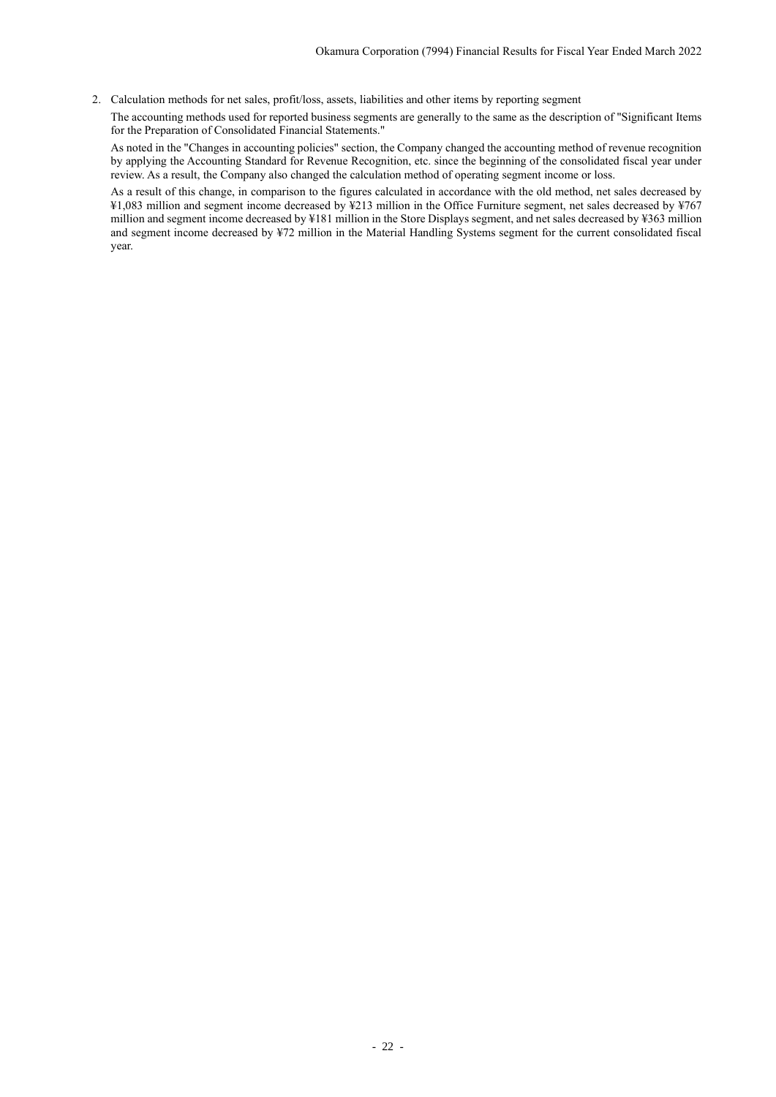2. Calculation methods for net sales, profit/loss, assets, liabilities and other items by reporting segment

The accounting methods used for reported business segments are generally to the same as the description of "Significant Items for the Preparation of Consolidated Financial Statements."

As noted in the "Changes in accounting policies" section, the Company changed the accounting method of revenue recognition by applying the Accounting Standard for Revenue Recognition, etc. since the beginning of the consolidated fiscal year under review. As a result, the Company also changed the calculation method of operating segment income or loss.

As a result of this change, in comparison to the figures calculated in accordance with the old method, net sales decreased by ¥1,083 million and segment income decreased by ¥213 million in the Office Furniture segment, net sales decreased by ¥767 million and segment income decreased by ¥181 million in the Store Displays segment, and net sales decreased by ¥363 million and segment income decreased by ¥72 million in the Material Handling Systems segment for the current consolidated fiscal year.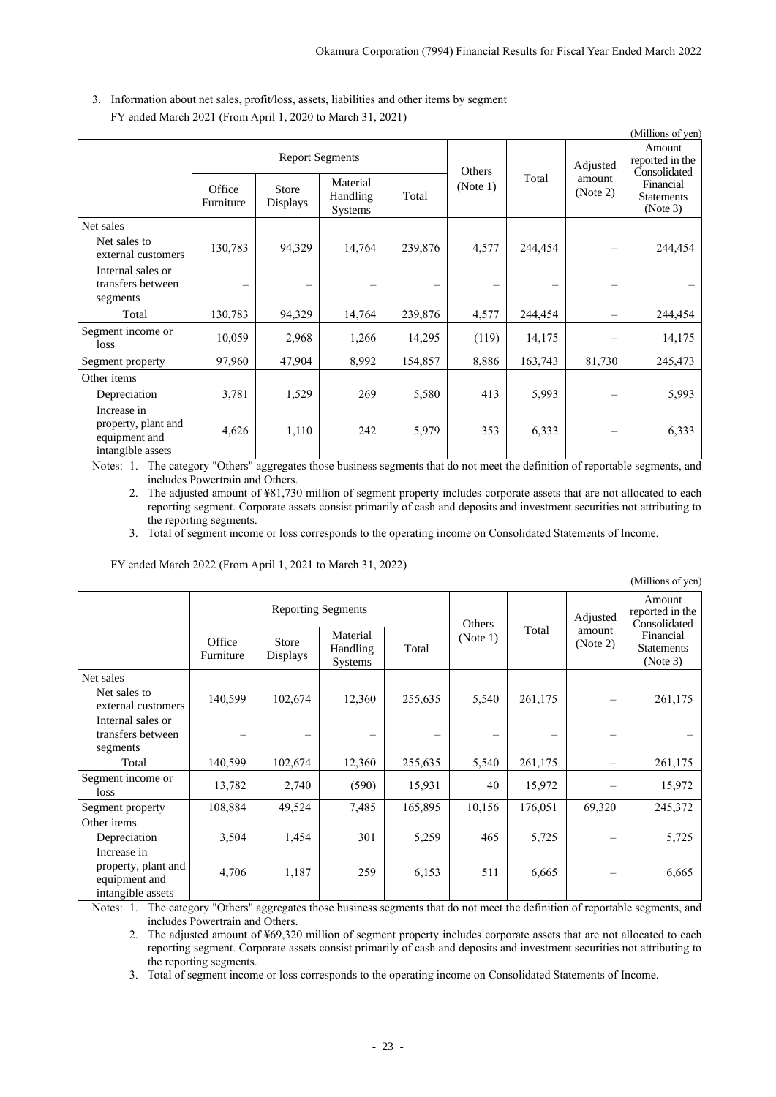(Millions of yen)

|                                                                          |                     |                                                                                                       |        |                    |       |                                |                                                                                         | (Millions of yen) |
|--------------------------------------------------------------------------|---------------------|-------------------------------------------------------------------------------------------------------|--------|--------------------|-------|--------------------------------|-----------------------------------------------------------------------------------------|-------------------|
|                                                                          | Office<br>Furniture | <b>Report Segments</b><br>Material<br>Store<br>Handling<br>Total<br><b>Displays</b><br><b>Systems</b> |        | Others<br>(Note 1) | Total | Adjusted<br>amount<br>(Note 2) | Amount<br>reported in the<br>Consolidated<br>Financial<br><b>Statements</b><br>(Note 3) |                   |
| Net sales                                                                |                     |                                                                                                       |        |                    |       |                                |                                                                                         |                   |
| Net sales to<br>external customers                                       | 130,783             | 94,329                                                                                                | 14,764 | 239,876            | 4,577 | 244,454                        |                                                                                         | 244,454           |
| Internal sales or<br>transfers between<br>segments                       | -                   |                                                                                                       |        |                    | —     |                                | —                                                                                       |                   |
| Total                                                                    | 130,783             | 94,329                                                                                                | 14,764 | 239,876            | 4,577 | 244,454                        | $\overline{\phantom{0}}$                                                                | 244,454           |
| Segment income or<br>loss                                                | 10,059              | 2,968                                                                                                 | 1,266  | 14,295             | (119) | 14,175                         |                                                                                         | 14,175            |
| Segment property                                                         | 97,960              | 47,904                                                                                                | 8,992  | 154,857            | 8,886 | 163,743                        | 81,730                                                                                  | 245,473           |
| Other items                                                              |                     |                                                                                                       |        |                    |       |                                |                                                                                         |                   |
| Depreciation                                                             | 3,781               | 1,529                                                                                                 | 269    | 5,580              | 413   | 5,993                          |                                                                                         | 5,993             |
| Increase in<br>property, plant and<br>equipment and<br>intangible assets | 4,626               | 1,110                                                                                                 | 242    | 5,979              | 353   | 6,333                          | $\overline{\phantom{m}}$                                                                | 6,333             |

3. Information about net sales, profit/loss, assets, liabilities and other items by segment FY ended March 2021 (From April 1, 2020 to March 31, 2021)

Notes: 1. The category "Others" aggregates those business segments that do not meet the definition of reportable segments, and includes Powertrain and Others.

2. The adjusted amount of ¥81,730 million of segment property includes corporate assets that are not allocated to each reporting segment. Corporate assets consist primarily of cash and deposits and investment securities not attributing to the reporting segments.

3. Total of segment income or loss corresponds to the operating income on Consolidated Statements of Income.

FY ended March 2022 (From April 1, 2021 to March 31, 2022)

|                     |                          |                                        |                           | Others   |         | Adjusted                 | Amount<br>reported in the<br>Consolidated  |
|---------------------|--------------------------|----------------------------------------|---------------------------|----------|---------|--------------------------|--------------------------------------------|
| Office<br>Furniture | Store<br><b>Displays</b> | Material<br>Handling<br><b>Systems</b> | Total                     | (Note 1) |         | (Note 2)                 | Financial<br><b>Statements</b><br>(Note 3) |
|                     |                          |                                        |                           |          |         |                          |                                            |
| 140,599             | 102,674                  | 12,360                                 | 255,635                   | 5,540    | 261,175 |                          | 261,175                                    |
|                     |                          |                                        |                           |          |         |                          |                                            |
| 140,599             | 102,674                  | 12,360                                 | 255,635                   | 5,540    | 261,175 | $\overline{\phantom{0}}$ | 261,175                                    |
| 13,782              | 2,740                    | (590)                                  | 15,931                    | 40       | 15,972  |                          | 15,972                                     |
| 108,884             | 49,524                   | 7,485                                  | 165,895                   | 10,156   | 176,051 | 69,320                   | 245,372                                    |
|                     |                          |                                        |                           |          |         |                          |                                            |
| 3,504               | 1,454                    | 301                                    | 5,259                     | 465      | 5,725   |                          | 5,725                                      |
| 4,706               | 1,187                    | 259                                    | 6,153                     | 511      | 6,665   |                          | 6,665                                      |
|                     |                          |                                        | <b>Reporting Segments</b> |          |         | Total                    | amount                                     |

Notes: 1. The category "Others" aggregates those business segments that do not meet the definition of reportable segments, and includes Powertrain and Others.

2. The adjusted amount of ¥69,320 million of segment property includes corporate assets that are not allocated to each reporting segment. Corporate assets consist primarily of cash and deposits and investment securities not attributing to the reporting segments.

3. Total of segment income or loss corresponds to the operating income on Consolidated Statements of Income.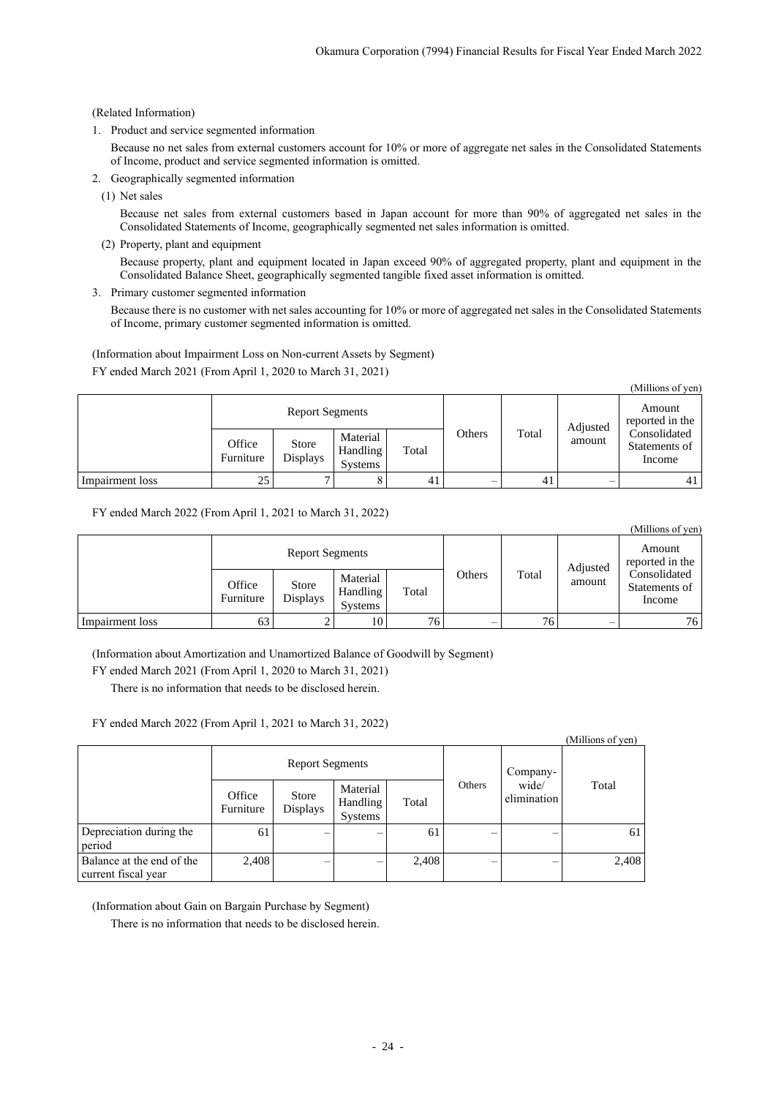## (Related Information)

1. Product and service segmented information

Because no net sales from external customers account for 10% or more of aggregate net sales in the Consolidated Statements of Income, product and service segmented information is omitted.

- 2. Geographically segmented information
	- (1) Net sales

Because net sales from external customers based in Japan account for more than 90% of aggregated net sales in the Consolidated Statements of Income, geographically segmented net sales information is omitted.

(2) Property, plant and equipment

Because property, plant and equipment located in Japan exceed 90% of aggregated property, plant and equipment in the Consolidated Balance Sheet, geographically segmented tangible fixed asset information is omitted.

3. Primary customer segmented information

Because there is no customer with net sales accounting for 10% or more of aggregated net sales in the Consolidated Statements of Income, primary customer segmented information is omitted.

(Information about Impairment Loss on Non-current Assets by Segment) FY ended March 2021 (From April 1, 2020 to March 31, 2021)

|                 |                     |                          |                                        |       |        |       |          | (Millions of yen)                       |
|-----------------|---------------------|--------------------------|----------------------------------------|-------|--------|-------|----------|-----------------------------------------|
|                 |                     | <b>Report Segments</b>   |                                        |       |        |       | Adjusted | Amount<br>reported in the               |
|                 | Office<br>Furniture | Store<br><b>Displays</b> | Material<br>Handling<br><b>Systems</b> | Total | Others | Total | amount   | Consolidated<br>Statements of<br>Income |
| Impairment loss | 25                  |                          | 8                                      | 41    | —      | 41    |          | 41                                      |

FY ended March 2022 (From April 1, 2021 to March 31, 2022)

|                 |                     |                          |                                        |       |        |       |          | (Millions of yen)                       |
|-----------------|---------------------|--------------------------|----------------------------------------|-------|--------|-------|----------|-----------------------------------------|
|                 |                     | <b>Report Segments</b>   |                                        |       |        |       | Adjusted | Amount<br>reported in the               |
|                 | Office<br>Furniture | Store<br><b>Displays</b> | Material<br>Handling<br><b>Systems</b> | Total | Others | Total | amount   | Consolidated<br>Statements of<br>Income |
| Impairment loss | 63                  |                          | 10                                     | 76.   | —      | 76    |          | 76                                      |

(Information about Amortization and Unamortized Balance of Goodwill by Segment)

FY ended March 2021 (From April 1, 2020 to March 31, 2021)

There is no information that needs to be disclosed herein.

## FY ended March 2022 (From April 1, 2021 to March 31, 2022)

|                                                  |                        |                          |                                 |       |        |                      | (Millions of yen) |
|--------------------------------------------------|------------------------|--------------------------|---------------------------------|-------|--------|----------------------|-------------------|
|                                                  | <b>Report Segments</b> |                          |                                 |       |        | Company-             |                   |
|                                                  | Office<br>Furniture    | <b>Store</b><br>Displays | Material<br>Handling<br>Systems | Total | Others | wide/<br>elimination | Total             |
| Depreciation during the<br>period                | 61                     |                          |                                 | 61    |        |                      | 61                |
| Balance at the end of the<br>current fiscal year | 2,408                  |                          |                                 | 2,408 |        |                      | 2,408             |

(Information about Gain on Bargain Purchase by Segment)

<span id="page-26-0"></span>There is no information that needs to be disclosed herein.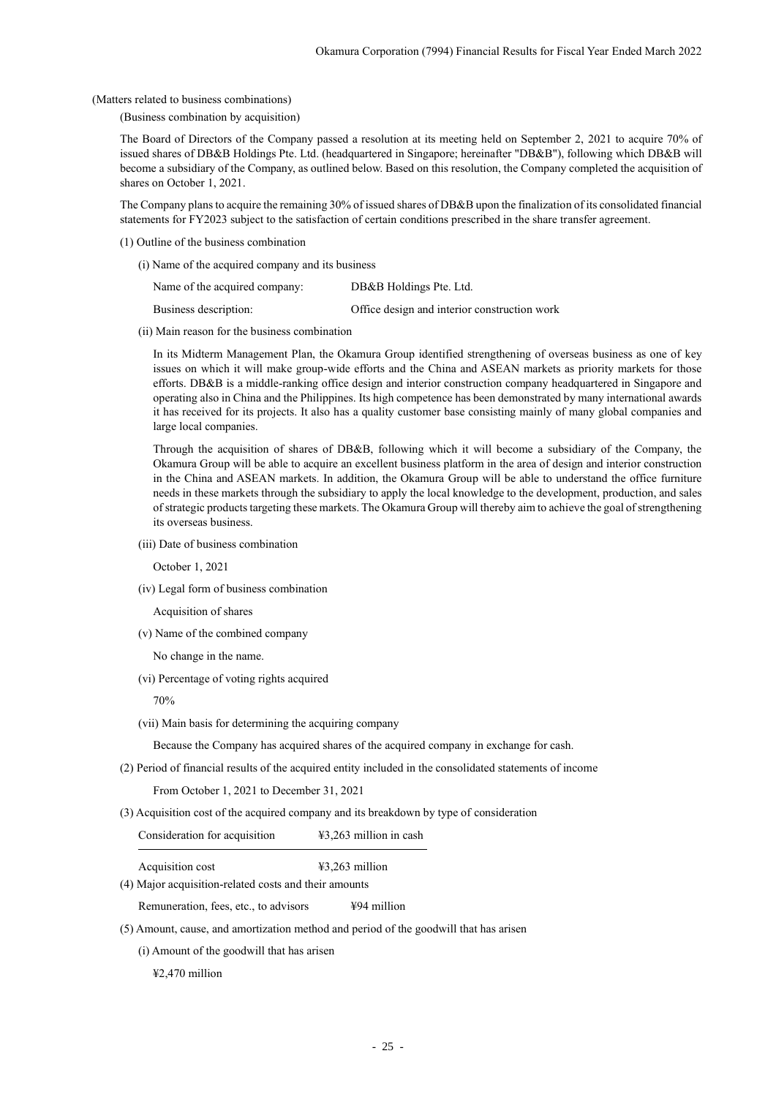(Matters related to business combinations)

(Business combination by acquisition)

The Board of Directors of the Company passed a resolution at its meeting held on September 2, 2021 to acquire 70% of issued shares of DB&B Holdings Pte. Ltd. (headquartered in Singapore; hereinafter "DB&B"), following which DB&B will become a subsidiary of the Company, as outlined below. Based on this resolution, the Company completed the acquisition of shares on October 1, 2021.

The Company plans to acquire the remaining 30% of issued shares of DB&B upon the finalization of its consolidated financial statements for FY2023 subject to the satisfaction of certain conditions prescribed in the share transfer agreement.

- (1) Outline of the business combination
	- (i) Name of the acquired company and its business

| Name of the acquired company: | DB&B Holdings Pte. Ltd.                      |
|-------------------------------|----------------------------------------------|
| Business description:         | Office design and interior construction work |

(ii) Main reason for the business combination

In its Midterm Management Plan, the Okamura Group identified strengthening of overseas business as one of key issues on which it will make group-wide efforts and the China and ASEAN markets as priority markets for those efforts. DB&B is a middle-ranking office design and interior construction company headquartered in Singapore and operating also in China and the Philippines. Its high competence has been demonstrated by many international awards it has received for its projects. It also has a quality customer base consisting mainly of many global companies and large local companies.

Through the acquisition of shares of DB&B, following which it will become a subsidiary of the Company, the Okamura Group will be able to acquire an excellent business platform in the area of design and interior construction in the China and ASEAN markets. In addition, the Okamura Group will be able to understand the office furniture needs in these markets through the subsidiary to apply the local knowledge to the development, production, and sales of strategic products targeting these markets. The Okamura Group will thereby aim to achieve the goal of strengthening its overseas business.

(iii) Date of business combination

October 1, 2021

(iv) Legal form of business combination

Acquisition of shares

(v) Name of the combined company

No change in the name.

(vi) Percentage of voting rights acquired

70%

(vii) Main basis for determining the acquiring company

Because the Company has acquired shares of the acquired company in exchange for cash.

(2) Period of financial results of the acquired entity included in the consolidated statements of income

From October 1, 2021 to December 31, 2021

(3) Acquisition cost of the acquired company and its breakdown by type of consideration

Consideration for acquisition ¥3,263 million in cash

Acquisition cost  $\text{\#3,263 million}$ 

(4) Major acquisition-related costs and their amounts

Remuneration, fees, etc., to advisors ¥94 million

(5) Amount, cause, and amortization method and period of the goodwill that has arisen

(i) Amount of the goodwill that has arisen

¥2,470 million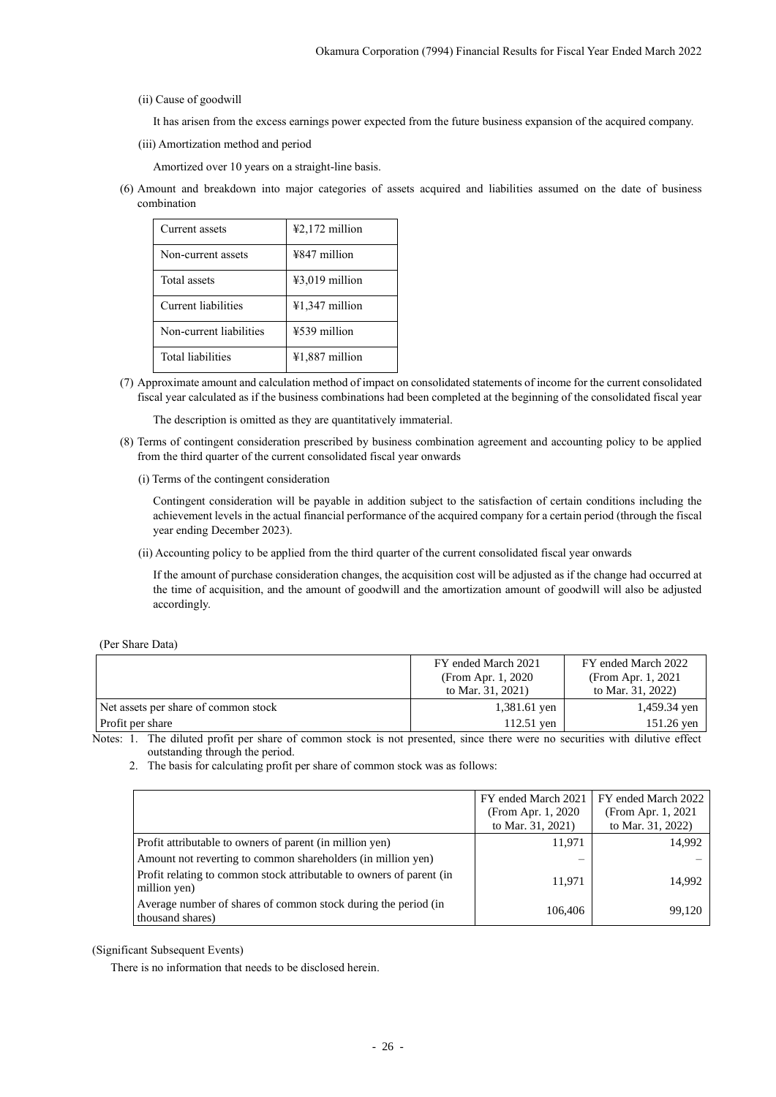### (ii) Cause of goodwill

It has arisen from the excess earnings power expected from the future business expansion of the acquired company.

(iii) Amortization method and period

Amortized over 10 years on a straight-line basis.

(6) Amount and breakdown into major categories of assets acquired and liabilities assumed on the date of business combination

| Current assets           | $42,172$ million |
|--------------------------|------------------|
| Non-current assets       | ¥847 million     |
| Total assets             | $43,019$ million |
| Current liabilities      | ¥1,347 million   |
| Non-current liabilities  | ¥539 million     |
| <b>Total liabilities</b> | ¥1,887 million   |

(7) Approximate amount and calculation method of impact on consolidated statements of income for the current consolidated fiscal year calculated as if the business combinations had been completed at the beginning of the consolidated fiscal year

The description is omitted as they are quantitatively immaterial.

- (8) Terms of contingent consideration prescribed by business combination agreement and accounting policy to be applied from the third quarter of the current consolidated fiscal year onwards
	- (i) Terms of the contingent consideration

Contingent consideration will be payable in addition subject to the satisfaction of certain conditions including the achievement levels in the actual financial performance of the acquired company for a certain period (through the fiscal year ending December 2023).

(ii) Accounting policy to be applied from the third quarter of the current consolidated fiscal year onwards

If the amount of purchase consideration changes, the acquisition cost will be adjusted as if the change had occurred at the time of acquisition, and the amount of goodwill and the amortization amount of goodwill will also be adjusted accordingly.

<span id="page-28-0"></span>

|  | (Per Share Data) |  |
|--|------------------|--|
|--|------------------|--|

|                                      | FY ended March 2021 | FY ended March 2022 |  |  |  |
|--------------------------------------|---------------------|---------------------|--|--|--|
|                                      | (From Apr. 1, 2020) | (From Apr. 1, 2021) |  |  |  |
|                                      | to Mar. 31, 2021)   | to Mar. 31, 2022)   |  |  |  |
| Net assets per share of common stock | 1,381.61 yen        | 1,459.34 yen        |  |  |  |
| <b>Profit per share</b>              | $112.51$ yen        | 151.26 yen          |  |  |  |
|                                      |                     |                     |  |  |  |

Notes: 1. The diluted profit per share of common stock is not presented, since there were no securities with dilutive effect outstanding through the period.

2. The basis for calculating profit per share of common stock was as follows:

|                                                                                      | FY ended March 2021<br>(From Apr. 1, 2020)<br>to Mar. 31, 2021) | FY ended March 2022<br>(From Apr. 1, 2021)<br>to Mar. 31, 2022) |
|--------------------------------------------------------------------------------------|-----------------------------------------------------------------|-----------------------------------------------------------------|
| Profit attributable to owners of parent (in million yen)                             | 11,971                                                          | 14,992                                                          |
| Amount not reverting to common shareholders (in million yen)                         |                                                                 |                                                                 |
| Profit relating to common stock attributable to owners of parent (in<br>million yen) | 11,971                                                          | 14,992                                                          |
| Average number of shares of common stock during the period (in<br>thousand shares)   | 106,406                                                         | 99.120                                                          |

## <span id="page-28-1"></span>(Significant Subsequent Events)

There is no information that needs to be disclosed herein.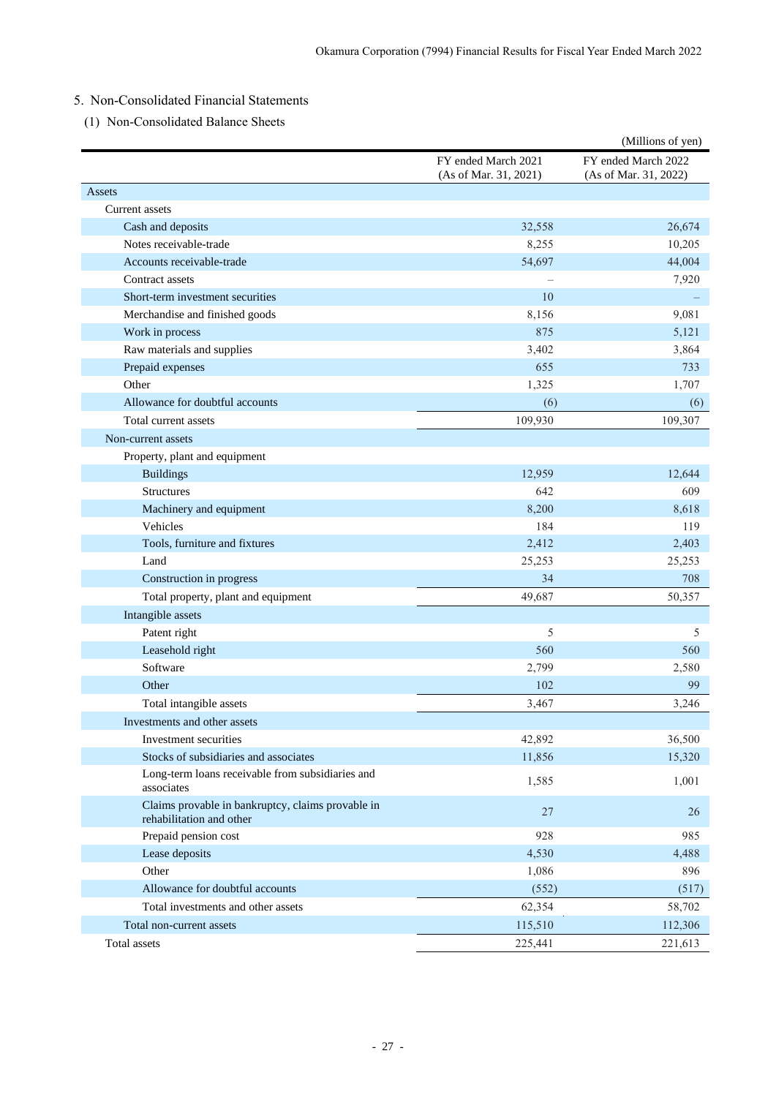# <span id="page-29-0"></span>5. Non-Consolidated Financial Statements

<span id="page-29-1"></span>(1) Non-Consolidated Balance Sheets

|                                                                               |                                              | (Millions of yen)                            |
|-------------------------------------------------------------------------------|----------------------------------------------|----------------------------------------------|
|                                                                               | FY ended March 2021<br>(As of Mar. 31, 2021) | FY ended March 2022<br>(As of Mar. 31, 2022) |
| Assets                                                                        |                                              |                                              |
| Current assets                                                                |                                              |                                              |
| Cash and deposits                                                             | 32,558                                       | 26,674                                       |
| Notes receivable-trade                                                        | 8,255                                        | 10,205                                       |
| Accounts receivable-trade                                                     | 54,697                                       | 44,004                                       |
| Contract assets                                                               |                                              | 7,920                                        |
| Short-term investment securities                                              | 10                                           |                                              |
| Merchandise and finished goods                                                | 8,156                                        | 9,081                                        |
| Work in process                                                               | 875                                          | 5,121                                        |
| Raw materials and supplies                                                    | 3,402                                        | 3,864                                        |
| Prepaid expenses                                                              | 655                                          | 733                                          |
| Other                                                                         | 1,325                                        | 1,707                                        |
| Allowance for doubtful accounts                                               | (6)                                          | (6)                                          |
| Total current assets                                                          | 109,930                                      | 109,307                                      |
| Non-current assets                                                            |                                              |                                              |
| Property, plant and equipment                                                 |                                              |                                              |
| <b>Buildings</b>                                                              | 12,959                                       | 12,644                                       |
| <b>Structures</b>                                                             | 642                                          | 609                                          |
| Machinery and equipment                                                       | 8,200                                        | 8,618                                        |
| Vehicles                                                                      | 184                                          | 119                                          |
| Tools, furniture and fixtures                                                 | 2,412                                        | 2,403                                        |
| Land                                                                          | 25,253                                       | 25,253                                       |
| Construction in progress                                                      | 34                                           | 708                                          |
| Total property, plant and equipment                                           | 49,687                                       | 50,357                                       |
| Intangible assets                                                             |                                              |                                              |
| Patent right                                                                  | 5                                            | 5                                            |
| Leasehold right                                                               | 560                                          | 560                                          |
| Software                                                                      | 2,799                                        | 2,580                                        |
| Other                                                                         | 102                                          | 99                                           |
| Total intangible assets                                                       | 3,467                                        | 3,246                                        |
| Investments and other assets                                                  |                                              |                                              |
| Investment securities                                                         | 42,892                                       | 36,500                                       |
| Stocks of subsidiaries and associates                                         | 11,856                                       | 15,320                                       |
| Long-term loans receivable from subsidiaries and<br>associates                | 1,585                                        | 1,001                                        |
| Claims provable in bankruptcy, claims provable in<br>rehabilitation and other | $27\,$                                       | 26                                           |
| Prepaid pension cost                                                          | 928                                          | 985                                          |
| Lease deposits                                                                | 4,530                                        | 4,488                                        |
| Other                                                                         | 1,086                                        | 896                                          |
| Allowance for doubtful accounts                                               | (552)                                        | (517)                                        |
| Total investments and other assets                                            | 62,354                                       | 58,702                                       |
| Total non-current assets                                                      | 115,510                                      | 112,306                                      |
| Total assets                                                                  | 225,441                                      | 221,613                                      |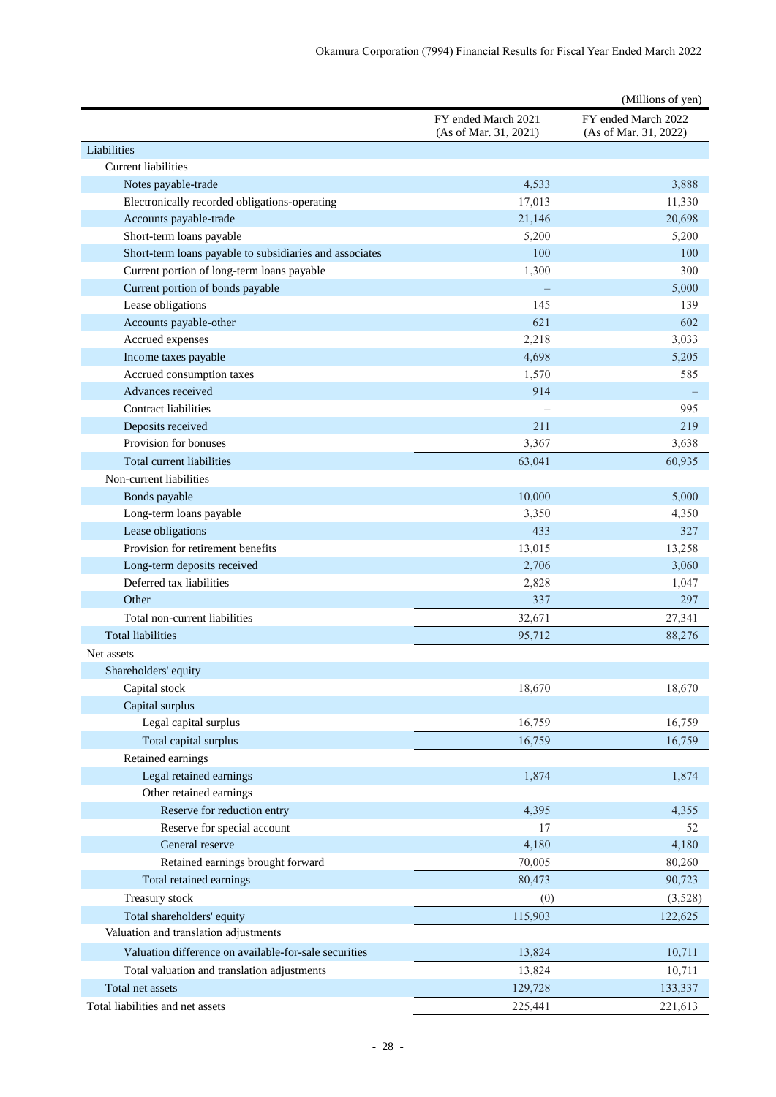|                                                                     |                                              | (Millions of yen)                            |
|---------------------------------------------------------------------|----------------------------------------------|----------------------------------------------|
|                                                                     | FY ended March 2021<br>(As of Mar. 31, 2021) | FY ended March 2022<br>(As of Mar. 31, 2022) |
| Liabilities                                                         |                                              |                                              |
| <b>Current</b> liabilities                                          |                                              |                                              |
| Notes payable-trade                                                 | 4,533                                        | 3,888                                        |
| Electronically recorded obligations-operating                       | 17,013                                       | 11,330                                       |
| Accounts payable-trade                                              | 21,146                                       | 20,698                                       |
| Short-term loans payable                                            | 5,200                                        | 5,200                                        |
| Short-term loans payable to subsidiaries and associates             | 100                                          | 100                                          |
| Current portion of long-term loans payable                          | 1,300                                        | 300                                          |
| Current portion of bonds payable                                    |                                              | 5,000                                        |
| Lease obligations                                                   | 145                                          | 139                                          |
| Accounts payable-other                                              | 621                                          | 602                                          |
| Accrued expenses                                                    | 2,218                                        | 3,033                                        |
| Income taxes payable                                                | 4,698                                        | 5,205                                        |
| Accrued consumption taxes                                           | 1,570                                        | 585                                          |
| Advances received                                                   | 914                                          |                                              |
| <b>Contract liabilities</b>                                         |                                              | 995                                          |
| Deposits received                                                   | 211                                          | 219                                          |
| Provision for bonuses                                               | 3,367                                        | 3,638                                        |
| Total current liabilities                                           | 63,041                                       | 60,935                                       |
| Non-current liabilities                                             |                                              |                                              |
| Bonds payable                                                       | 10,000                                       | 5,000                                        |
| Long-term loans payable                                             | 3,350                                        | 4,350                                        |
| Lease obligations                                                   | 433                                          | 327                                          |
| Provision for retirement benefits                                   | 13,015                                       | 13,258                                       |
| Long-term deposits received                                         | 2,706                                        | 3,060                                        |
| Deferred tax liabilities                                            | 2,828                                        | 1,047                                        |
| Other                                                               | 337                                          | 297                                          |
| Total non-current liabilities                                       | 32,671                                       | 27,341                                       |
| <b>Total liabilities</b>                                            | 95,712                                       | 88,276                                       |
| Net assets                                                          |                                              |                                              |
| Shareholders' equity                                                |                                              |                                              |
| Capital stock                                                       | 18,670                                       | 18,670                                       |
| Capital surplus                                                     |                                              |                                              |
| Legal capital surplus                                               | 16,759                                       | 16,759                                       |
| Total capital surplus                                               | 16,759                                       | 16,759                                       |
| Retained earnings                                                   |                                              |                                              |
| Legal retained earnings                                             | 1,874                                        | 1,874                                        |
| Other retained earnings                                             |                                              |                                              |
| Reserve for reduction entry                                         | 4,395                                        | 4,355                                        |
| Reserve for special account                                         | 17                                           | 52                                           |
| General reserve                                                     | 4,180                                        | 4,180                                        |
| Retained earnings brought forward                                   | 70,005                                       | 80,260                                       |
| Total retained earnings                                             | 80,473                                       | 90,723                                       |
| Treasury stock                                                      | (0)                                          | (3,528)                                      |
|                                                                     |                                              |                                              |
| Total shareholders' equity<br>Valuation and translation adjustments | 115,903                                      | 122,625                                      |
|                                                                     |                                              |                                              |
| Valuation difference on available-for-sale securities               | 13,824                                       | 10,711                                       |
| Total valuation and translation adjustments                         | 13,824                                       | 10,711                                       |
| Total net assets                                                    | 129,728                                      | 133,337                                      |
| Total liabilities and net assets                                    | 225,441                                      | 221,613                                      |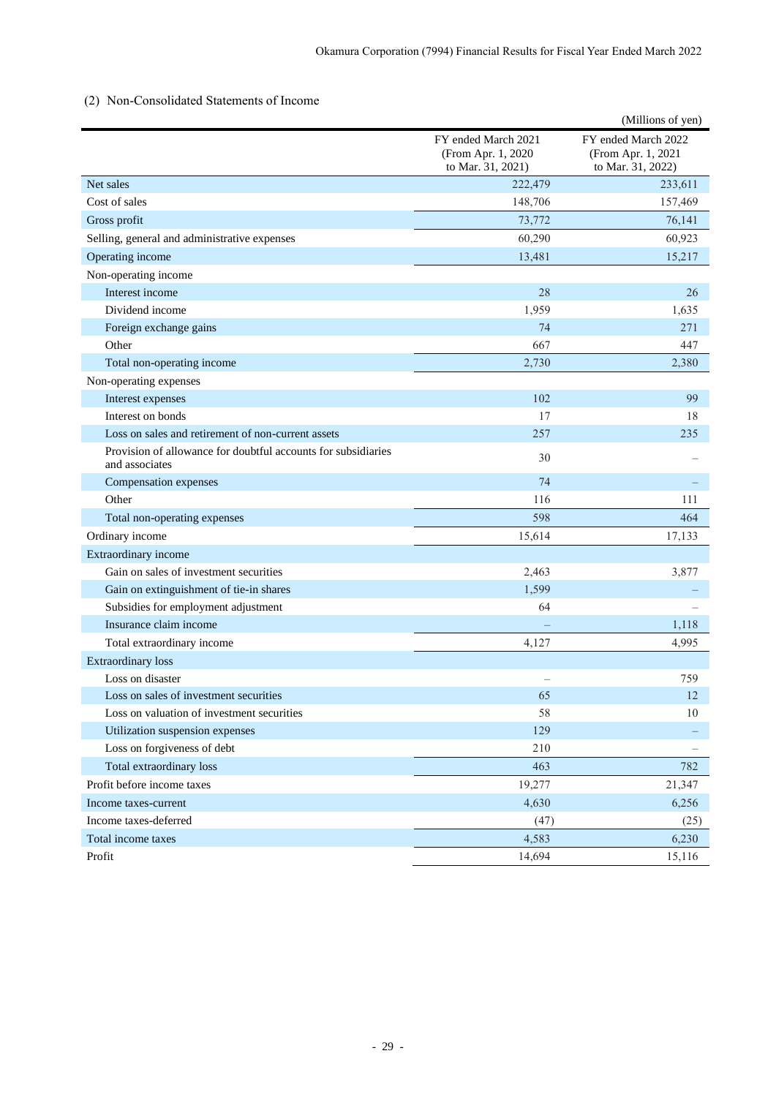## <span id="page-31-0"></span>(2) Non-Consolidated Statements of Income

|                                                                                 |                                                                 | (Millions of yen)                                              |
|---------------------------------------------------------------------------------|-----------------------------------------------------------------|----------------------------------------------------------------|
|                                                                                 | FY ended March 2021<br>(From Apr. 1, 2020)<br>to Mar. 31, 2021) | FY ended March 2022<br>(From Apr. 1, 2021<br>to Mar. 31, 2022) |
| Net sales                                                                       | 222,479                                                         | 233,611                                                        |
| Cost of sales                                                                   | 148,706                                                         | 157,469                                                        |
| Gross profit                                                                    | 73,772                                                          | 76,141                                                         |
| Selling, general and administrative expenses                                    | 60,290                                                          | 60,923                                                         |
| Operating income                                                                | 13,481                                                          | 15,217                                                         |
| Non-operating income                                                            |                                                                 |                                                                |
| Interest income                                                                 | 28                                                              | 26                                                             |
| Dividend income                                                                 | 1,959                                                           | 1,635                                                          |
| Foreign exchange gains                                                          | 74                                                              | 271                                                            |
| Other                                                                           | 667                                                             | 447                                                            |
| Total non-operating income                                                      | 2,730                                                           | 2,380                                                          |
| Non-operating expenses                                                          |                                                                 |                                                                |
| Interest expenses                                                               | 102                                                             | 99                                                             |
| Interest on bonds                                                               | 17                                                              | 18                                                             |
| Loss on sales and retirement of non-current assets                              | 257                                                             | 235                                                            |
| Provision of allowance for doubtful accounts for subsidiaries<br>and associates | 30                                                              |                                                                |
| Compensation expenses                                                           | 74                                                              |                                                                |
| Other                                                                           | 116                                                             | 111                                                            |
| Total non-operating expenses                                                    | 598                                                             | 464                                                            |
| Ordinary income                                                                 | 15,614                                                          | 17,133                                                         |
| Extraordinary income                                                            |                                                                 |                                                                |
| Gain on sales of investment securities                                          | 2,463                                                           | 3,877                                                          |
| Gain on extinguishment of tie-in shares                                         | 1,599                                                           |                                                                |
| Subsidies for employment adjustment                                             | 64                                                              |                                                                |
| Insurance claim income                                                          |                                                                 | 1,118                                                          |
| Total extraordinary income                                                      | 4,127                                                           | 4,995                                                          |
| <b>Extraordinary</b> loss                                                       |                                                                 |                                                                |
| Loss on disaster                                                                |                                                                 | 759                                                            |
| Loss on sales of investment securities                                          | 65                                                              | 12                                                             |
| Loss on valuation of investment securities                                      | 58                                                              | 10                                                             |
| Utilization suspension expenses                                                 | 129                                                             |                                                                |
| Loss on forgiveness of debt                                                     | 210                                                             |                                                                |
| Total extraordinary loss                                                        | 463                                                             | 782                                                            |
| Profit before income taxes                                                      | 19,277                                                          | 21,347                                                         |
| Income taxes-current                                                            | 4,630                                                           | 6,256                                                          |
| Income taxes-deferred                                                           | (47)                                                            | (25)                                                           |
| Total income taxes                                                              | 4,583                                                           | 6,230                                                          |
| Profit                                                                          | 14,694                                                          | 15,116                                                         |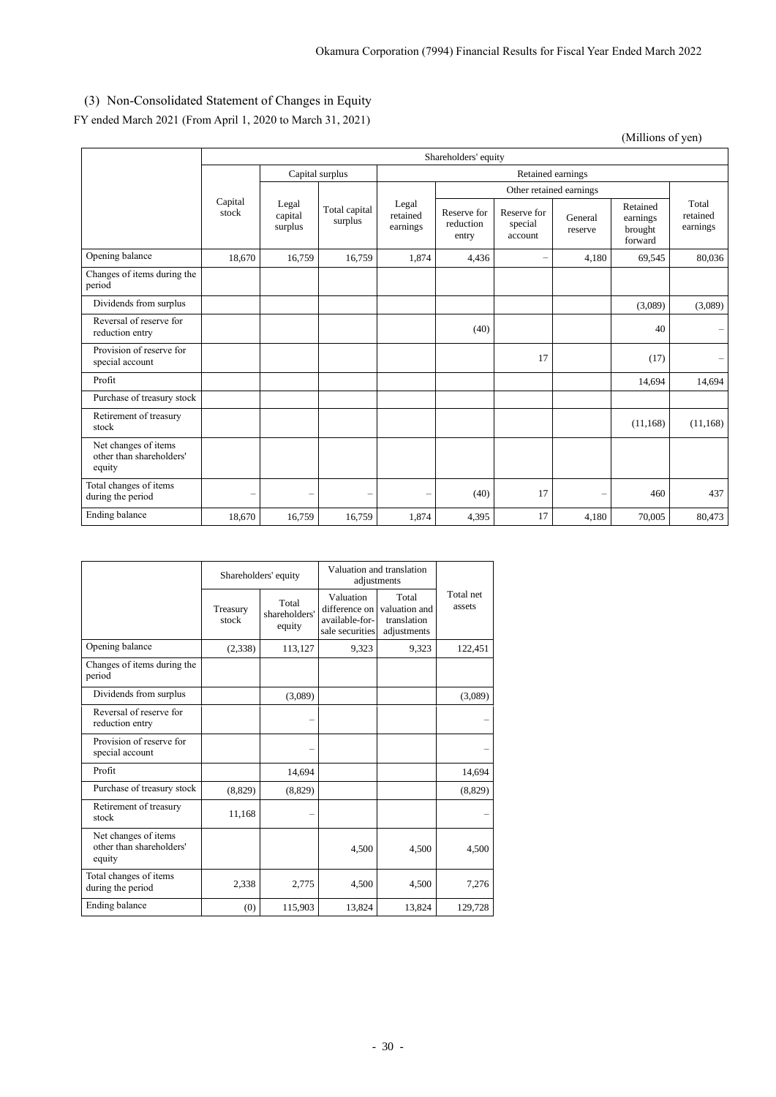# <span id="page-32-0"></span>(3) Non-Consolidated Statement of Changes in Equity

FY ended March 2021 (From April 1, 2020 to March 31, 2021)

(Millions of yen)

|                                                            | Shareholders' equity |                             |                          |                               |                                   |                                   |                          |                                            |                               |
|------------------------------------------------------------|----------------------|-----------------------------|--------------------------|-------------------------------|-----------------------------------|-----------------------------------|--------------------------|--------------------------------------------|-------------------------------|
|                                                            | Capital surplus      |                             |                          | Retained earnings             |                                   |                                   |                          |                                            |                               |
|                                                            |                      |                             |                          |                               |                                   | Other retained earnings           |                          |                                            |                               |
|                                                            | Capital<br>stock     | Legal<br>capital<br>surplus | Total capital<br>surplus | Legal<br>retained<br>earnings | Reserve for<br>reduction<br>entry | Reserve for<br>special<br>account | General<br>reserve       | Retained<br>earnings<br>brought<br>forward | Total<br>retained<br>earnings |
| Opening balance                                            | 18.670               | 16,759                      | 16,759                   | 1,874                         | 4,436                             |                                   | 4,180                    | 69,545                                     | 80.036                        |
| Changes of items during the<br>period                      |                      |                             |                          |                               |                                   |                                   |                          |                                            |                               |
| Dividends from surplus                                     |                      |                             |                          |                               |                                   |                                   |                          | (3,089)                                    | (3,089)                       |
| Reversal of reserve for<br>reduction entry                 |                      |                             |                          |                               | (40)                              |                                   |                          | 40                                         |                               |
| Provision of reserve for<br>special account                |                      |                             |                          |                               |                                   | 17                                |                          | (17)                                       |                               |
| Profit                                                     |                      |                             |                          |                               |                                   |                                   |                          | 14,694                                     | 14,694                        |
| Purchase of treasury stock                                 |                      |                             |                          |                               |                                   |                                   |                          |                                            |                               |
| Retirement of treasury<br>stock                            |                      |                             |                          |                               |                                   |                                   |                          | (11, 168)                                  | (11, 168)                     |
| Net changes of items<br>other than shareholders'<br>equity |                      |                             |                          |                               |                                   |                                   |                          |                                            |                               |
| Total changes of items<br>during the period                |                      |                             | —                        | -                             | (40)                              | 17                                | $\overline{\phantom{0}}$ | 460                                        | 437                           |
| Ending balance                                             | 18,670               | 16,759                      | 16,759                   | 1,874                         | 4,395                             | 17                                | 4,180                    | 70,005                                     | 80,473                        |

|                                                            |                   | Shareholders' equity             | Valuation and translation<br>adjustments                        |                                                      |                     |
|------------------------------------------------------------|-------------------|----------------------------------|-----------------------------------------------------------------|------------------------------------------------------|---------------------|
|                                                            | Treasury<br>stock | Total<br>shareholders'<br>equity | Valuation<br>difference on<br>available-for-<br>sale securities | Total<br>valuation and<br>translation<br>adjustments | Total net<br>assets |
| Opening balance                                            | (2,338)           | 113,127                          | 9,323                                                           | 9.323                                                | 122,451             |
| Changes of items during the<br>period                      |                   |                                  |                                                                 |                                                      |                     |
| Dividends from surplus                                     |                   | (3,089)                          |                                                                 |                                                      | (3,089)             |
| Reversal of reserve for<br>reduction entry                 |                   |                                  |                                                                 |                                                      |                     |
| Provision of reserve for<br>special account                |                   |                                  |                                                                 |                                                      |                     |
| Profit                                                     |                   | 14,694                           |                                                                 |                                                      | 14,694              |
| Purchase of treasury stock                                 | (8,829)           | (8,829)                          |                                                                 |                                                      | (8,829)             |
| Retirement of treasury<br>stock                            | 11,168            |                                  |                                                                 |                                                      |                     |
| Net changes of items<br>other than shareholders'<br>equity |                   |                                  | 4,500                                                           | 4,500                                                | 4,500               |
| Total changes of items<br>during the period                | 2,338             | 2,775                            | 4,500                                                           | 4,500                                                | 7,276               |
| Ending balance                                             | (0)               | 115,903                          | 13,824                                                          | 13,824                                               | 129,728             |